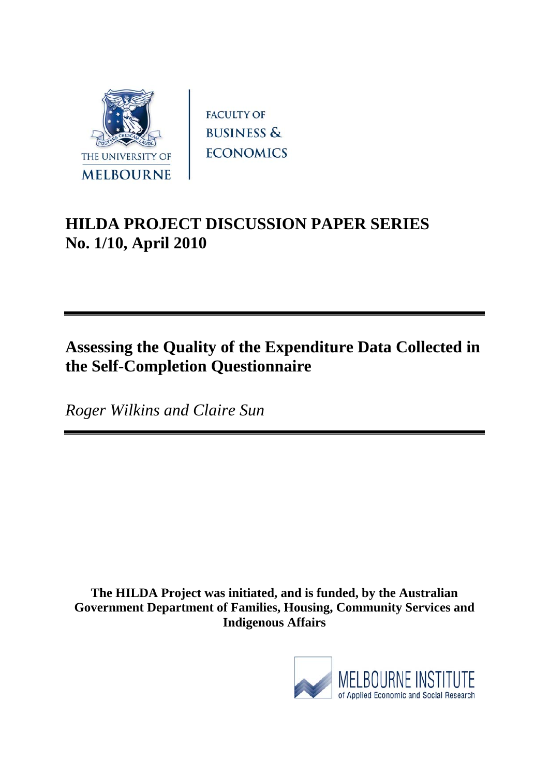

**FACULTY OF BUSINESS & ECONOMICS** 

# **HILDA PROJECT DISCUSSION PAPER SERIES No. 1/10, April 2010**

## **Assessing the Quality of the Expenditure Data Collected in the Self-Completion Questionnaire**

*Roger Wilkins and Claire Sun* 

**The HILDA Project was initiated, and is funded, by the Australian Government Department of Families, Housing, Community Services and Indigenous Affairs** 

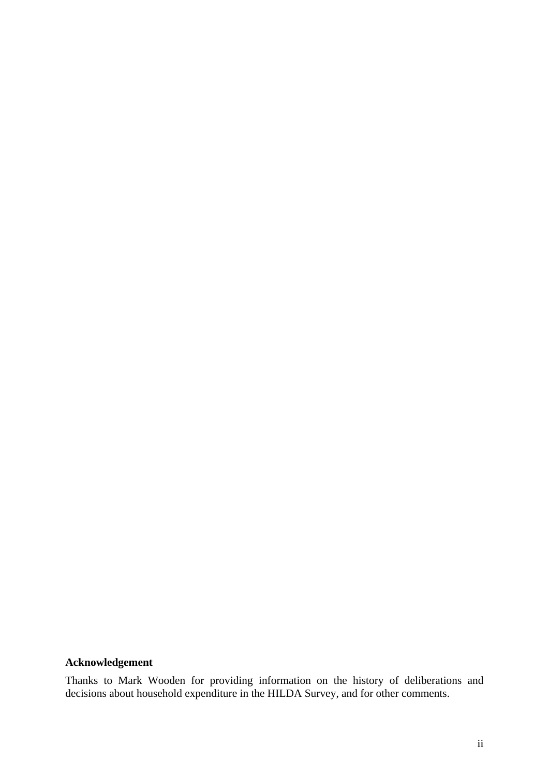#### **Acknowledgement**

Thanks to Mark Wooden for providing information on the history of deliberations and decisions about household expenditure in the HILDA Survey, and for other comments.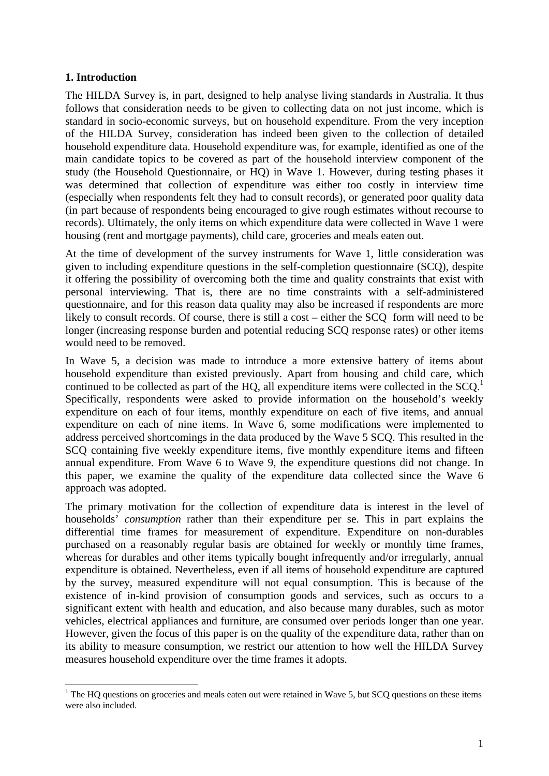#### **1. Introduction**

1

The HILDA Survey is, in part, designed to help analyse living standards in Australia. It thus follows that consideration needs to be given to collecting data on not just income, which is standard in socio-economic surveys, but on household expenditure. From the very inception of the HILDA Survey, consideration has indeed been given to the collection of detailed household expenditure data. Household expenditure was, for example, identified as one of the main candidate topics to be covered as part of the household interview component of the study (the Household Questionnaire, or HQ) in Wave 1. However, during testing phases it was determined that collection of expenditure was either too costly in interview time (especially when respondents felt they had to consult records), or generated poor quality data (in part because of respondents being encouraged to give rough estimates without recourse to records). Ultimately, the only items on which expenditure data were collected in Wave 1 were housing (rent and mortgage payments), child care, groceries and meals eaten out.

At the time of development of the survey instruments for Wave 1, little consideration was given to including expenditure questions in the self-completion questionnaire (SCQ), despite it offering the possibility of overcoming both the time and quality constraints that exist with personal interviewing. That is, there are no time constraints with a self-administered questionnaire, and for this reason data quality may also be increased if respondents are more likely to consult records. Of course, there is still a cost – either the SCQ form will need to be longer (increasing response burden and potential reducing SCQ response rates) or other items would need to be removed.

In Wave 5, a decision was made to introduce a more extensive battery of items about household expenditure than existed previously. Apart from housing and child care, which continued to be collected as part of the HQ, all expenditure items were collected in the  $SCQ<sup>1</sup>$ Specifically, respondents were asked to provide information on the household's weekly expenditure on each of four items, monthly expenditure on each of five items, and annual expenditure on each of nine items. In Wave 6, some modifications were implemented to address perceived shortcomings in the data produced by the Wave 5 SCQ. This resulted in the SCQ containing five weekly expenditure items, five monthly expenditure items and fifteen annual expenditure. From Wave 6 to Wave 9, the expenditure questions did not change. In this paper, we examine the quality of the expenditure data collected since the Wave 6 approach was adopted.

The primary motivation for the collection of expenditure data is interest in the level of households' *consumption* rather than their expenditure per se. This in part explains the differential time frames for measurement of expenditure. Expenditure on non-durables purchased on a reasonably regular basis are obtained for weekly or monthly time frames, whereas for durables and other items typically bought infrequently and/or irregularly, annual expenditure is obtained. Nevertheless, even if all items of household expenditure are captured by the survey, measured expenditure will not equal consumption. This is because of the existence of in-kind provision of consumption goods and services, such as occurs to a significant extent with health and education, and also because many durables, such as motor vehicles, electrical appliances and furniture, are consumed over periods longer than one year. However, given the focus of this paper is on the quality of the expenditure data, rather than on its ability to measure consumption, we restrict our attention to how well the HILDA Survey measures household expenditure over the time frames it adopts.

 $<sup>1</sup>$  The HQ questions on groceries and meals eaten out were retained in Wave 5, but SCQ questions on these items</sup> were also included.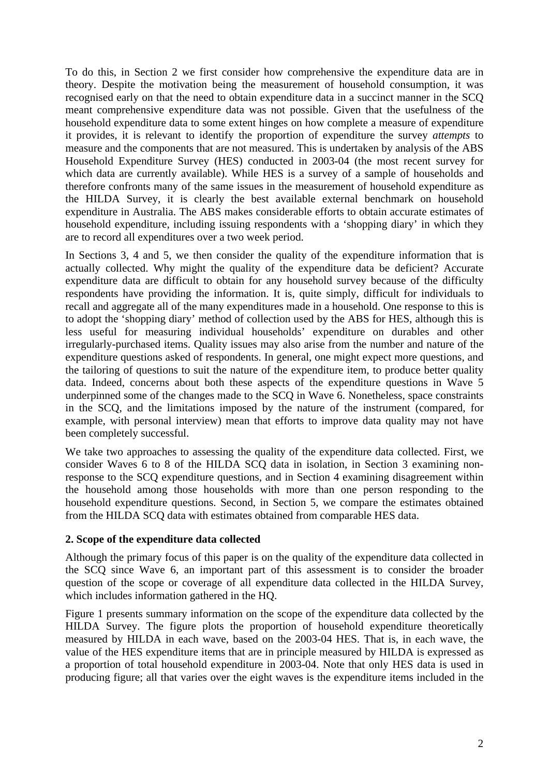To do this, in Section 2 we first consider how comprehensive the expenditure data are in theory. Despite the motivation being the measurement of household consumption, it was recognised early on that the need to obtain expenditure data in a succinct manner in the SCQ meant comprehensive expenditure data was not possible. Given that the usefulness of the household expenditure data to some extent hinges on how complete a measure of expenditure it provides, it is relevant to identify the proportion of expenditure the survey *attempts* to measure and the components that are not measured. This is undertaken by analysis of the ABS Household Expenditure Survey (HES) conducted in 2003-04 (the most recent survey for which data are currently available). While HES is a survey of a sample of households and therefore confronts many of the same issues in the measurement of household expenditure as the HILDA Survey, it is clearly the best available external benchmark on household expenditure in Australia. The ABS makes considerable efforts to obtain accurate estimates of household expenditure, including issuing respondents with a 'shopping diary' in which they are to record all expenditures over a two week period.

In Sections 3, 4 and 5, we then consider the quality of the expenditure information that is actually collected. Why might the quality of the expenditure data be deficient? Accurate expenditure data are difficult to obtain for any household survey because of the difficulty respondents have providing the information. It is, quite simply, difficult for individuals to recall and aggregate all of the many expenditures made in a household. One response to this is to adopt the 'shopping diary' method of collection used by the ABS for HES, although this is less useful for measuring individual households' expenditure on durables and other irregularly-purchased items. Quality issues may also arise from the number and nature of the expenditure questions asked of respondents. In general, one might expect more questions, and the tailoring of questions to suit the nature of the expenditure item, to produce better quality data. Indeed, concerns about both these aspects of the expenditure questions in Wave 5 underpinned some of the changes made to the SCQ in Wave 6. Nonetheless, space constraints in the SCQ, and the limitations imposed by the nature of the instrument (compared, for example, with personal interview) mean that efforts to improve data quality may not have been completely successful.

We take two approaches to assessing the quality of the expenditure data collected. First, we consider Waves 6 to 8 of the HILDA SCQ data in isolation, in Section 3 examining nonresponse to the SCQ expenditure questions, and in Section 4 examining disagreement within the household among those households with more than one person responding to the household expenditure questions. Second, in Section 5, we compare the estimates obtained from the HILDA SCQ data with estimates obtained from comparable HES data.

#### **2. Scope of the expenditure data collected**

Although the primary focus of this paper is on the quality of the expenditure data collected in the SCQ since Wave 6, an important part of this assessment is to consider the broader question of the scope or coverage of all expenditure data collected in the HILDA Survey, which includes information gathered in the HQ.

Figure 1 presents summary information on the scope of the expenditure data collected by the HILDA Survey. The figure plots the proportion of household expenditure theoretically measured by HILDA in each wave, based on the 2003-04 HES. That is, in each wave, the value of the HES expenditure items that are in principle measured by HILDA is expressed as a proportion of total household expenditure in 2003-04. Note that only HES data is used in producing figure; all that varies over the eight waves is the expenditure items included in the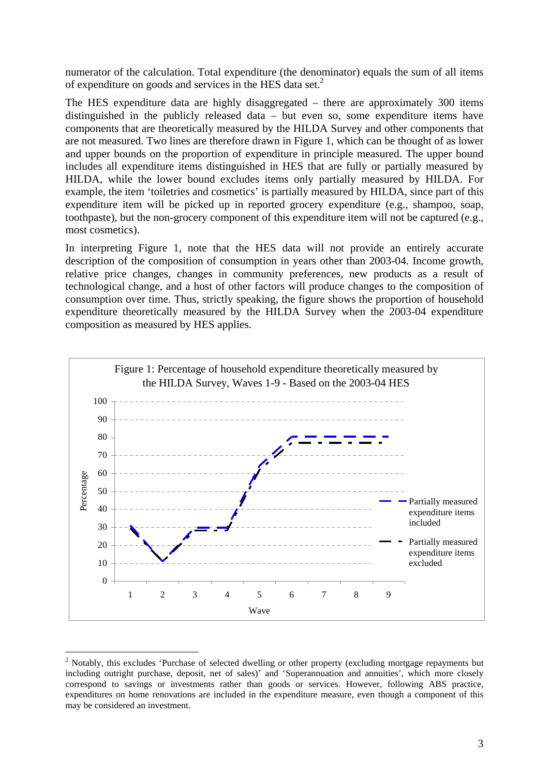numerator of the calculation. Total expenditure (the denominator) equals the sum of all items of expenditure on goods and services in the HES data set.2

The HES expenditure data are highly disaggregated – there are approximately 300 items distinguished in the publicly released data – but even so, some expenditure items have components that are theoretically measured by the HILDA Survey and other components that are not measured. Two lines are therefore drawn in Figure 1, which can be thought of as lower and upper bounds on the proportion of expenditure in principle measured. The upper bound includes all expenditure items distinguished in HES that are fully or partially measured by HILDA, while the lower bound excludes items only partially measured by HILDA. For example, the item 'toiletries and cosmetics' is partially measured by HILDA, since part of this expenditure item will be picked up in reported grocery expenditure (e.g., shampoo, soap, toothpaste), but the non-grocery component of this expenditure item will not be captured (e.g., most cosmetics).

In interpreting Figure 1, note that the HES data will not provide an entirely accurate description of the composition of consumption in years other than 2003-04. Income growth, relative price changes, changes in community preferences, new products as a result of technological change, and a host of other factors will produce changes to the composition of consumption over time. Thus, strictly speaking, the figure shows the proportion of household expenditure theoretically measured by the HILDA Survey when the 2003-04 expenditure composition as measured by HES applies.



<sup>&</sup>lt;sup>2</sup> Notably, this excludes 'Purchase of selected dwelling or other property (excluding mortgage repayments but including outright purchase, deposit, net of sales)' and 'Superannuation and annuities', which more closely correspond to savings or investments rather than goods or services. However, following ABS practice, expenditures on home renovations are included in the expenditure measure, even though a component of this may be considered an investment.

1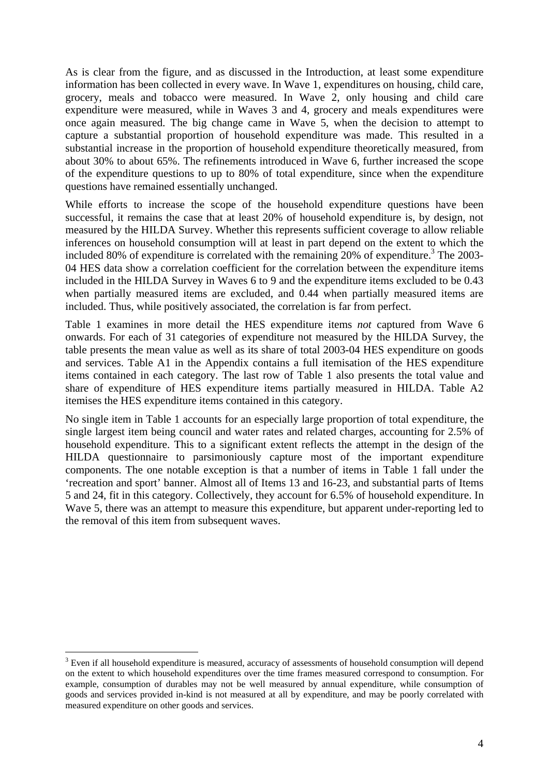As is clear from the figure, and as discussed in the Introduction, at least some expenditure information has been collected in every wave. In Wave 1, expenditures on housing, child care, grocery, meals and tobacco were measured. In Wave 2, only housing and child care expenditure were measured, while in Waves 3 and 4, grocery and meals expenditures were once again measured. The big change came in Wave 5, when the decision to attempt to capture a substantial proportion of household expenditure was made. This resulted in a substantial increase in the proportion of household expenditure theoretically measured, from about 30% to about 65%. The refinements introduced in Wave 6, further increased the scope of the expenditure questions to up to 80% of total expenditure, since when the expenditure questions have remained essentially unchanged.

While efforts to increase the scope of the household expenditure questions have been successful, it remains the case that at least 20% of household expenditure is, by design, not measured by the HILDA Survey. Whether this represents sufficient coverage to allow reliable inferences on household consumption will at least in part depend on the extent to which the included 80% of expenditure is correlated with the remaining  $20\%$  of expenditure.<sup>3</sup> The 2003-04 HES data show a correlation coefficient for the correlation between the expenditure items included in the HILDA Survey in Waves 6 to 9 and the expenditure items excluded to be 0.43 when partially measured items are excluded, and 0.44 when partially measured items are included. Thus, while positively associated, the correlation is far from perfect.

Table 1 examines in more detail the HES expenditure items *not* captured from Wave 6 onwards. For each of 31 categories of expenditure not measured by the HILDA Survey, the table presents the mean value as well as its share of total 2003-04 HES expenditure on goods and services. Table A1 in the Appendix contains a full itemisation of the HES expenditure items contained in each category. The last row of Table 1 also presents the total value and share of expenditure of HES expenditure items partially measured in HILDA. Table A2 itemises the HES expenditure items contained in this category.

No single item in Table 1 accounts for an especially large proportion of total expenditure, the single largest item being council and water rates and related charges, accounting for 2.5% of household expenditure. This to a significant extent reflects the attempt in the design of the HILDA questionnaire to parsimoniously capture most of the important expenditure components. The one notable exception is that a number of items in Table 1 fall under the 'recreation and sport' banner. Almost all of Items 13 and 16-23, and substantial parts of Items 5 and 24, fit in this category. Collectively, they account for 6.5% of household expenditure. In Wave 5, there was an attempt to measure this expenditure, but apparent under-reporting led to the removal of this item from subsequent waves.

1

<sup>&</sup>lt;sup>3</sup> Even if all household expenditure is measured, accuracy of assessments of household consumption will depend on the extent to which household expenditures over the time frames measured correspond to consumption. For example, consumption of durables may not be well measured by annual expenditure, while consumption of goods and services provided in-kind is not measured at all by expenditure, and may be poorly correlated with measured expenditure on other goods and services.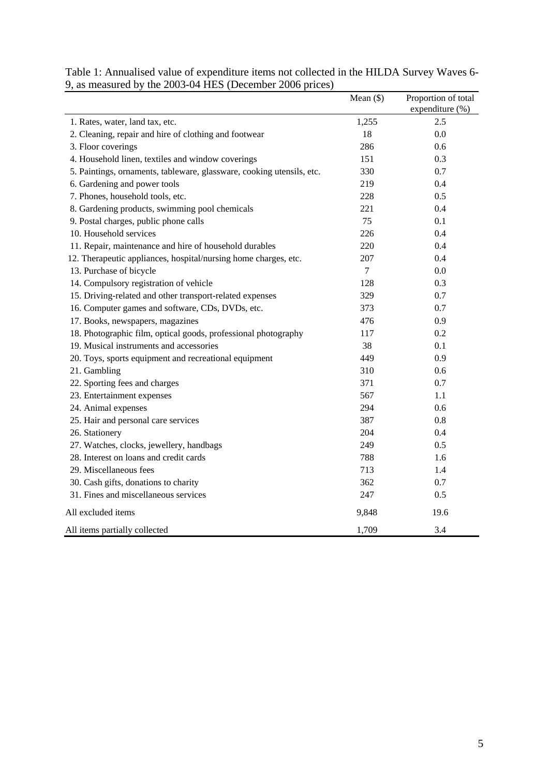|                                                                       | Mean $(\$)$ | Proportion of total<br>expenditure (%) |
|-----------------------------------------------------------------------|-------------|----------------------------------------|
| 1. Rates, water, land tax, etc.                                       | 1,255       | 2.5                                    |
| 2. Cleaning, repair and hire of clothing and footwear                 | 18          | 0.0                                    |
| 3. Floor coverings                                                    | 286         | 0.6                                    |
| 4. Household linen, textiles and window coverings                     | 151         | 0.3                                    |
| 5. Paintings, ornaments, tableware, glassware, cooking utensils, etc. | 330         | 0.7                                    |
| 6. Gardening and power tools                                          | 219         | 0.4                                    |
| 7. Phones, household tools, etc.                                      | 228         | 0.5                                    |
| 8. Gardening products, swimming pool chemicals                        | 221         | 0.4                                    |
| 9. Postal charges, public phone calls                                 | 75          | 0.1                                    |
| 10. Household services                                                | 226         | 0.4                                    |
| 11. Repair, maintenance and hire of household durables                | 220         | 0.4                                    |
| 12. Therapeutic appliances, hospital/nursing home charges, etc.       | 207         | 0.4                                    |
| 13. Purchase of bicycle                                               | $\tau$      | 0.0                                    |
| 14. Compulsory registration of vehicle                                | 128         | 0.3                                    |
| 15. Driving-related and other transport-related expenses              | 329         | 0.7                                    |
| 16. Computer games and software, CDs, DVDs, etc.                      | 373         | 0.7                                    |
| 17. Books, newspapers, magazines                                      | 476         | 0.9                                    |
| 18. Photographic film, optical goods, professional photography        | 117         | 0.2                                    |
| 19. Musical instruments and accessories                               | 38          | 0.1                                    |
| 20. Toys, sports equipment and recreational equipment                 | 449         | 0.9                                    |
| 21. Gambling                                                          | 310         | 0.6                                    |
| 22. Sporting fees and charges                                         | 371         | 0.7                                    |
| 23. Entertainment expenses                                            | 567         | 1.1                                    |
| 24. Animal expenses                                                   | 294         | 0.6                                    |
| 25. Hair and personal care services                                   | 387         | 0.8                                    |
| 26. Stationery                                                        | 204         | 0.4                                    |
| 27. Watches, clocks, jewellery, handbags                              | 249         | 0.5                                    |
| 28. Interest on loans and credit cards                                | 788         | 1.6                                    |
| 29. Miscellaneous fees                                                | 713         | 1.4                                    |
| 30. Cash gifts, donations to charity                                  | 362         | 0.7                                    |
| 31. Fines and miscellaneous services                                  | 247         | 0.5                                    |
| All excluded items                                                    | 9,848       | 19.6                                   |
| All items partially collected                                         | 1,709       | 3.4                                    |

Table 1: Annualised value of expenditure items not collected in the HILDA Survey Waves 6- 9, as measured by the 2003-04 HES (December 2006 prices)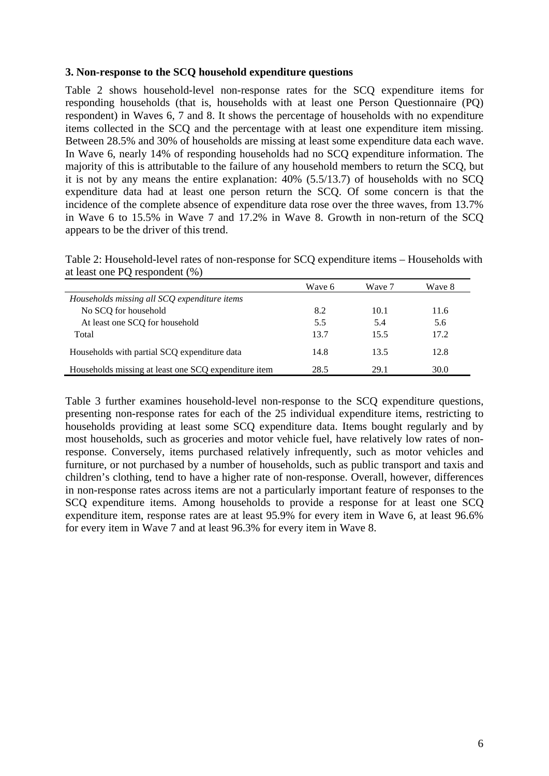#### **3. Non-response to the SCQ household expenditure questions**

Table 2 shows household-level non-response rates for the SCQ expenditure items for responding households (that is, households with at least one Person Questionnaire (PQ) respondent) in Waves 6, 7 and 8. It shows the percentage of households with no expenditure items collected in the SCQ and the percentage with at least one expenditure item missing. Between 28.5% and 30% of households are missing at least some expenditure data each wave. In Wave 6, nearly 14% of responding households had no SCQ expenditure information. The majority of this is attributable to the failure of any household members to return the SCQ, but it is not by any means the entire explanation: 40% (5.5/13.7) of households with no SCQ expenditure data had at least one person return the SCQ. Of some concern is that the incidence of the complete absence of expenditure data rose over the three waves, from 13.7% in Wave 6 to 15.5% in Wave 7 and 17.2% in Wave 8. Growth in non-return of the SCQ appears to be the driver of this trend.

Table 2: Household-level rates of non-response for SCQ expenditure items – Households with at least one PQ respondent (%)

|                                                      | Wave 6 | Wave 7 | Wave 8 |
|------------------------------------------------------|--------|--------|--------|
| Households missing all SCQ expenditure items         |        |        |        |
| No SCQ for household                                 | 8.2    | 10.1   | 11.6   |
| At least one SCQ for household                       | 5.5    | 5.4    | 5.6    |
| Total                                                | 13.7   | 15.5   | 17.2   |
| Households with partial SCQ expenditure data         | 14.8   | 13.5   | 12.8   |
| Households missing at least one SCQ expenditure item | 28.5   | 29.1   | 30.0   |

Table 3 further examines household-level non-response to the SCQ expenditure questions, presenting non-response rates for each of the 25 individual expenditure items, restricting to households providing at least some SCQ expenditure data. Items bought regularly and by most households, such as groceries and motor vehicle fuel, have relatively low rates of nonresponse. Conversely, items purchased relatively infrequently, such as motor vehicles and furniture, or not purchased by a number of households, such as public transport and taxis and children's clothing, tend to have a higher rate of non-response. Overall, however, differences in non-response rates across items are not a particularly important feature of responses to the SCQ expenditure items. Among households to provide a response for at least one SCQ expenditure item, response rates are at least 95.9% for every item in Wave 6, at least 96.6% for every item in Wave 7 and at least 96.3% for every item in Wave 8.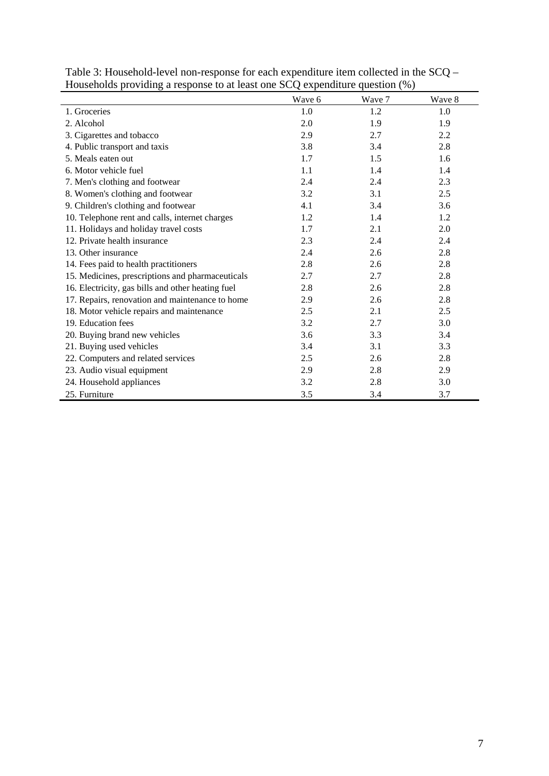|                                                   |        | $\mathbf{u}$ |        |
|---------------------------------------------------|--------|--------------|--------|
|                                                   | Wave 6 | Wave 7       | Wave 8 |
| 1. Groceries                                      | 1.0    | 1.2          | 1.0    |
| 2. Alcohol                                        | 2.0    | 1.9          | 1.9    |
| 3. Cigarettes and tobacco                         | 2.9    | 2.7          | 2.2    |
| 4. Public transport and taxis                     | 3.8    | 3.4          | 2.8    |
| 5. Meals eaten out                                | 1.7    | 1.5          | 1.6    |
| 6. Motor vehicle fuel                             | 1.1    | 1.4          | 1.4    |
| 7. Men's clothing and footwear                    | 2.4    | 2.4          | 2.3    |
| 8. Women's clothing and footwear                  | 3.2    | 3.1          | 2.5    |
| 9. Children's clothing and footwear               | 4.1    | 3.4          | 3.6    |
| 10. Telephone rent and calls, internet charges    | 1.2    | 1.4          | 1.2    |
| 11. Holidays and holiday travel costs             | 1.7    | 2.1          | 2.0    |
| 12. Private health insurance                      | 2.3    | 2.4          | 2.4    |
| 13. Other insurance                               | 2.4    | 2.6          | 2.8    |
| 14. Fees paid to health practitioners             | 2.8    | 2.6          | 2.8    |
| 15. Medicines, prescriptions and pharmaceuticals  | 2.7    | 2.7          | 2.8    |
| 16. Electricity, gas bills and other heating fuel | 2.8    | 2.6          | 2.8    |
| 17. Repairs, renovation and maintenance to home   | 2.9    | 2.6          | 2.8    |
| 18. Motor vehicle repairs and maintenance         | 2.5    | 2.1          | 2.5    |
| 19. Education fees                                | 3.2    | 2.7          | 3.0    |
| 20. Buying brand new vehicles                     | 3.6    | 3.3          | 3.4    |
| 21. Buying used vehicles                          | 3.4    | 3.1          | 3.3    |
| 22. Computers and related services                | 2.5    | 2.6          | 2.8    |
| 23. Audio visual equipment                        | 2.9    | 2.8          | 2.9    |
| 24. Household appliances                          | 3.2    | 2.8          | 3.0    |
| 25. Furniture                                     | 3.5    | 3.4          | 3.7    |

| Table 3: Household-level non-response for each expenditure item collected in the $SCQ -$ |
|------------------------------------------------------------------------------------------|
| Households providing a response to at least one SCQ expenditure question (%)             |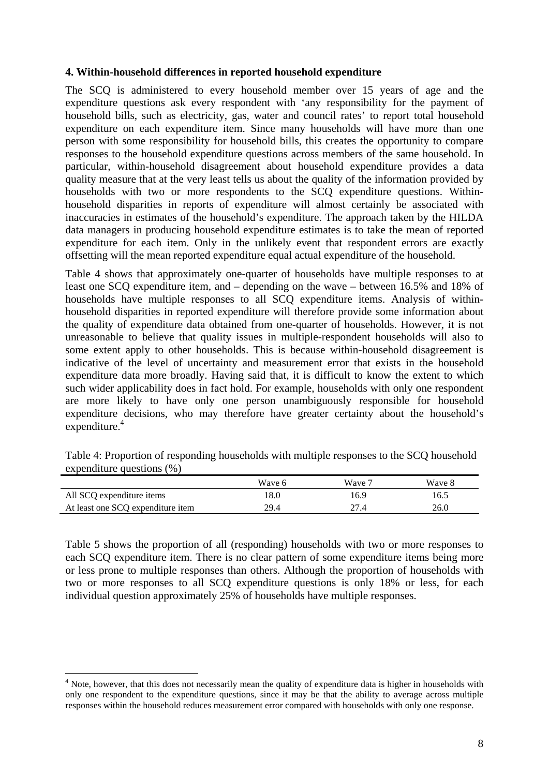#### **4. Within-household differences in reported household expenditure**

The SCQ is administered to every household member over 15 years of age and the expenditure questions ask every respondent with 'any responsibility for the payment of household bills, such as electricity, gas, water and council rates' to report total household expenditure on each expenditure item. Since many households will have more than one person with some responsibility for household bills, this creates the opportunity to compare responses to the household expenditure questions across members of the same household. In particular, within-household disagreement about household expenditure provides a data quality measure that at the very least tells us about the quality of the information provided by households with two or more respondents to the SCQ expenditure questions. Withinhousehold disparities in reports of expenditure will almost certainly be associated with inaccuracies in estimates of the household's expenditure. The approach taken by the HILDA data managers in producing household expenditure estimates is to take the mean of reported expenditure for each item. Only in the unlikely event that respondent errors are exactly offsetting will the mean reported expenditure equal actual expenditure of the household.

Table 4 shows that approximately one-quarter of households have multiple responses to at least one SCQ expenditure item, and – depending on the wave – between 16.5% and 18% of households have multiple responses to all SCQ expenditure items. Analysis of withinhousehold disparities in reported expenditure will therefore provide some information about the quality of expenditure data obtained from one-quarter of households. However, it is not unreasonable to believe that quality issues in multiple-respondent households will also to some extent apply to other households. This is because within-household disagreement is indicative of the level of uncertainty and measurement error that exists in the household expenditure data more broadly. Having said that, it is difficult to know the extent to which such wider applicability does in fact hold. For example, households with only one respondent are more likely to have only one person unambiguously responsible for household expenditure decisions, who may therefore have greater certainty about the household's expenditure.<sup>4</sup>

|                                   | Wave 6 | Wave 7 | Wave 8 |
|-----------------------------------|--------|--------|--------|
| All SCQ expenditure items         | 18.0   | 16.9   | 16.5   |
| At least one SCQ expenditure item | 29.4   | 27.4   | 26.0   |

Table 4: Proportion of responding households with multiple responses to the SCQ household expenditure questions (%)

Table 5 shows the proportion of all (responding) households with two or more responses to each SCQ expenditure item. There is no clear pattern of some expenditure items being more or less prone to multiple responses than others. Although the proportion of households with two or more responses to all SCQ expenditure questions is only 18% or less, for each individual question approximately 25% of households have multiple responses.

1

 $4$  Note, however, that this does not necessarily mean the quality of expenditure data is higher in households with only one respondent to the expenditure questions, since it may be that the ability to average across multiple responses within the household reduces measurement error compared with households with only one response.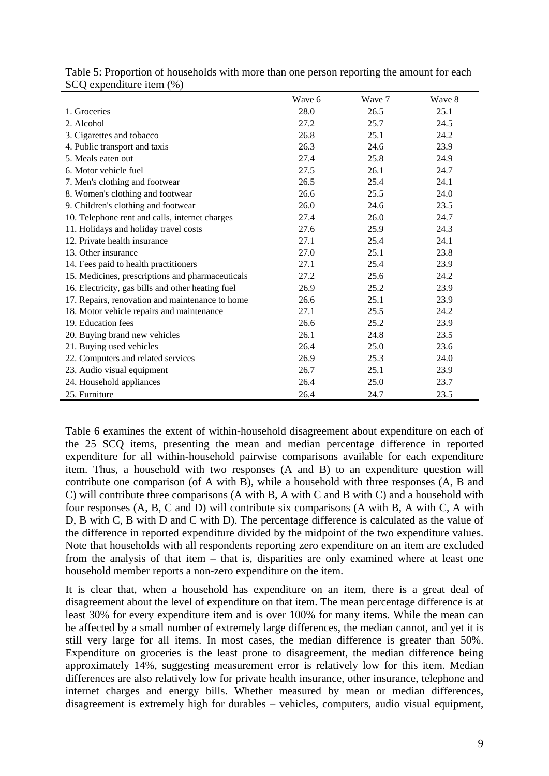|                                                   | Wave 6 | Wave 7 | Wave 8 |
|---------------------------------------------------|--------|--------|--------|
| 1. Groceries                                      | 28.0   | 26.5   | 25.1   |
| 2. Alcohol                                        | 27.2   | 25.7   | 24.5   |
| 3. Cigarettes and tobacco                         | 26.8   | 25.1   | 24.2   |
| 4. Public transport and taxis                     | 26.3   | 24.6   | 23.9   |
| 5. Meals eaten out                                | 27.4   | 25.8   | 24.9   |
| 6. Motor vehicle fuel                             | 27.5   | 26.1   | 24.7   |
| 7. Men's clothing and footwear                    | 26.5   | 25.4   | 24.1   |
| 8. Women's clothing and footwear                  | 26.6   | 25.5   | 24.0   |
| 9. Children's clothing and footwear               | 26.0   | 24.6   | 23.5   |
| 10. Telephone rent and calls, internet charges    | 27.4   | 26.0   | 24.7   |
| 11. Holidays and holiday travel costs             | 27.6   | 25.9   | 24.3   |
| 12. Private health insurance                      | 27.1   | 25.4   | 24.1   |
| 13. Other insurance                               | 27.0   | 25.1   | 23.8   |
| 14. Fees paid to health practitioners             | 27.1   | 25.4   | 23.9   |
| 15. Medicines, prescriptions and pharmaceuticals  | 27.2   | 25.6   | 24.2   |
| 16. Electricity, gas bills and other heating fuel | 26.9   | 25.2   | 23.9   |
| 17. Repairs, renovation and maintenance to home   | 26.6   | 25.1   | 23.9   |
| 18. Motor vehicle repairs and maintenance         | 27.1   | 25.5   | 24.2   |
| 19. Education fees                                | 26.6   | 25.2   | 23.9   |
| 20. Buying brand new vehicles                     | 26.1   | 24.8   | 23.5   |
| 21. Buying used vehicles                          | 26.4   | 25.0   | 23.6   |
| 22. Computers and related services                | 26.9   | 25.3   | 24.0   |
| 23. Audio visual equipment                        | 26.7   | 25.1   | 23.9   |
| 24. Household appliances                          | 26.4   | 25.0   | 23.7   |
| 25. Furniture                                     | 26.4   | 24.7   | 23.5   |

Table 5: Proportion of households with more than one person reporting the amount for each SCQ expenditure item (%)

Table 6 examines the extent of within-household disagreement about expenditure on each of the 25 SCQ items, presenting the mean and median percentage difference in reported expenditure for all within-household pairwise comparisons available for each expenditure item. Thus, a household with two responses (A and B) to an expenditure question will contribute one comparison (of A with B), while a household with three responses (A, B and C) will contribute three comparisons (A with B, A with C and B with C) and a household with four responses (A, B, C and D) will contribute six comparisons (A with B, A with C, A with D, B with C, B with D and C with D). The percentage difference is calculated as the value of the difference in reported expenditure divided by the midpoint of the two expenditure values. Note that households with all respondents reporting zero expenditure on an item are excluded from the analysis of that item – that is, disparities are only examined where at least one household member reports a non-zero expenditure on the item.

It is clear that, when a household has expenditure on an item, there is a great deal of disagreement about the level of expenditure on that item. The mean percentage difference is at least 30% for every expenditure item and is over 100% for many items. While the mean can be affected by a small number of extremely large differences, the median cannot, and yet it is still very large for all items. In most cases, the median difference is greater than 50%. Expenditure on groceries is the least prone to disagreement, the median difference being approximately 14%, suggesting measurement error is relatively low for this item. Median differences are also relatively low for private health insurance, other insurance, telephone and internet charges and energy bills. Whether measured by mean or median differences, disagreement is extremely high for durables – vehicles, computers, audio visual equipment,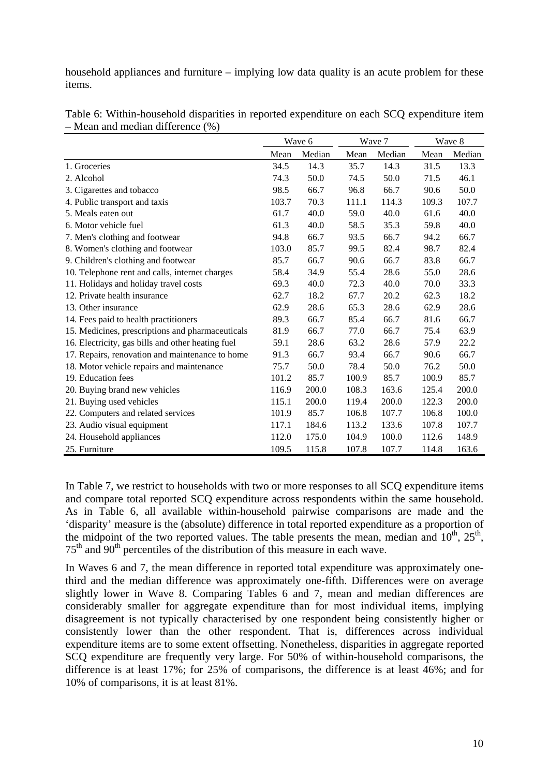household appliances and furniture – implying low data quality is an acute problem for these items.

|                                                   | Wave 6 |        |       | Wave 7 |       | Wave 8 |  |
|---------------------------------------------------|--------|--------|-------|--------|-------|--------|--|
|                                                   | Mean   | Median | Mean  | Median | Mean  | Median |  |
| 1. Groceries                                      | 34.5   | 14.3   | 35.7  | 14.3   | 31.5  | 13.3   |  |
| 2. Alcohol                                        | 74.3   | 50.0   | 74.5  | 50.0   | 71.5  | 46.1   |  |
| 3. Cigarettes and tobacco                         | 98.5   | 66.7   | 96.8  | 66.7   | 90.6  | 50.0   |  |
| 4. Public transport and taxis                     | 103.7  | 70.3   | 111.1 | 114.3  | 109.3 | 107.7  |  |
| 5. Meals eaten out                                | 61.7   | 40.0   | 59.0  | 40.0   | 61.6  | 40.0   |  |
| 6. Motor vehicle fuel                             | 61.3   | 40.0   | 58.5  | 35.3   | 59.8  | 40.0   |  |
| 7. Men's clothing and footwear                    | 94.8   | 66.7   | 93.5  | 66.7   | 94.2  | 66.7   |  |
| 8. Women's clothing and footwear                  | 103.0  | 85.7   | 99.5  | 82.4   | 98.7  | 82.4   |  |
| 9. Children's clothing and footwear               | 85.7   | 66.7   | 90.6  | 66.7   | 83.8  | 66.7   |  |
| 10. Telephone rent and calls, internet charges    | 58.4   | 34.9   | 55.4  | 28.6   | 55.0  | 28.6   |  |
| 11. Holidays and holiday travel costs             | 69.3   | 40.0   | 72.3  | 40.0   | 70.0  | 33.3   |  |
| 12. Private health insurance                      | 62.7   | 18.2   | 67.7  | 20.2   | 62.3  | 18.2   |  |
| 13. Other insurance                               | 62.9   | 28.6   | 65.3  | 28.6   | 62.9  | 28.6   |  |
| 14. Fees paid to health practitioners             | 89.3   | 66.7   | 85.4  | 66.7   | 81.6  | 66.7   |  |
| 15. Medicines, prescriptions and pharmaceuticals  | 81.9   | 66.7   | 77.0  | 66.7   | 75.4  | 63.9   |  |
| 16. Electricity, gas bills and other heating fuel | 59.1   | 28.6   | 63.2  | 28.6   | 57.9  | 22.2   |  |
| 17. Repairs, renovation and maintenance to home   | 91.3   | 66.7   | 93.4  | 66.7   | 90.6  | 66.7   |  |
| 18. Motor vehicle repairs and maintenance         | 75.7   | 50.0   | 78.4  | 50.0   | 76.2  | 50.0   |  |
| 19. Education fees                                | 101.2  | 85.7   | 100.9 | 85.7   | 100.9 | 85.7   |  |
| 20. Buying brand new vehicles                     | 116.9  | 200.0  | 108.3 | 163.6  | 125.4 | 200.0  |  |
| 21. Buying used vehicles                          | 115.1  | 200.0  | 119.4 | 200.0  | 122.3 | 200.0  |  |
| 22. Computers and related services                | 101.9  | 85.7   | 106.8 | 107.7  | 106.8 | 100.0  |  |
| 23. Audio visual equipment                        | 117.1  | 184.6  | 113.2 | 133.6  | 107.8 | 107.7  |  |
| 24. Household appliances                          | 112.0  | 175.0  | 104.9 | 100.0  | 112.6 | 148.9  |  |
| 25. Furniture                                     | 109.5  | 115.8  | 107.8 | 107.7  | 114.8 | 163.6  |  |

Table 6: Within-household disparities in reported expenditure on each SCQ expenditure item – Mean and median difference (%)

In Table 7, we restrict to households with two or more responses to all SCQ expenditure items and compare total reported SCQ expenditure across respondents within the same household. As in Table 6, all available within-household pairwise comparisons are made and the 'disparity' measure is the (absolute) difference in total reported expenditure as a proportion of the midpoint of the two reported values. The table presents the mean, median and  $10^{th}$ ,  $25^{th}$ , 75th and 90th percentiles of the distribution of this measure in each wave.

In Waves 6 and 7, the mean difference in reported total expenditure was approximately onethird and the median difference was approximately one-fifth. Differences were on average slightly lower in Wave 8. Comparing Tables 6 and 7, mean and median differences are considerably smaller for aggregate expenditure than for most individual items, implying disagreement is not typically characterised by one respondent being consistently higher or consistently lower than the other respondent. That is, differences across individual expenditure items are to some extent offsetting. Nonetheless, disparities in aggregate reported SCQ expenditure are frequently very large. For 50% of within-household comparisons, the difference is at least 17%; for 25% of comparisons, the difference is at least 46%; and for 10% of comparisons, it is at least 81%.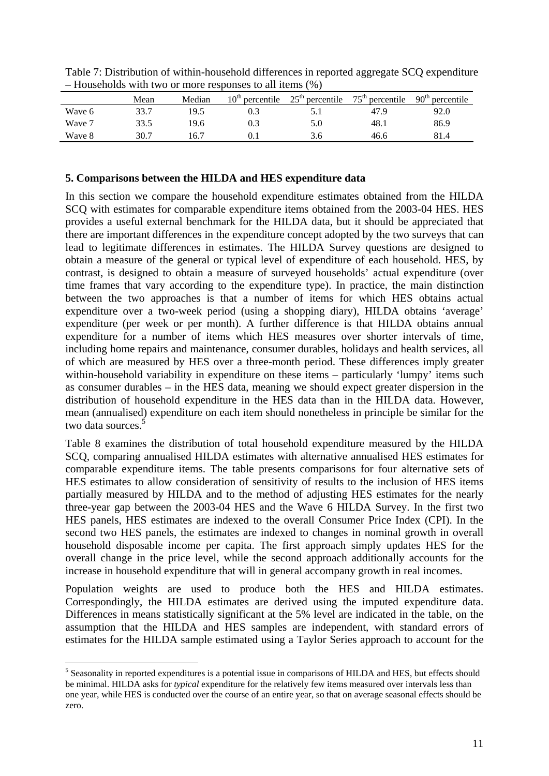|        | Mean | Median | $10th$ percentile | $25th$ percentile | $75th$ percentile | 90 <sup>th</sup><br>percentile |
|--------|------|--------|-------------------|-------------------|-------------------|--------------------------------|
| Wave 6 | 33.7 | 19.5   |                   | 5. I              | 47.9              | 92.0                           |
| Wave 7 | 33.5 | 19.6   | 0.3               | 5.0               | 48.1              | 86.9                           |
| Wave 8 | 30.7 | 16.7   |                   | 3.6               | 46.6              | 81.4                           |

Table 7: Distribution of within-household differences in reported aggregate SCQ expenditure – Households with two or more responses to all items (%)

#### **5. Comparisons between the HILDA and HES expenditure data**

In this section we compare the household expenditure estimates obtained from the HILDA SCQ with estimates for comparable expenditure items obtained from the 2003-04 HES. HES provides a useful external benchmark for the HILDA data, but it should be appreciated that there are important differences in the expenditure concept adopted by the two surveys that can lead to legitimate differences in estimates. The HILDA Survey questions are designed to obtain a measure of the general or typical level of expenditure of each household. HES, by contrast, is designed to obtain a measure of surveyed households' actual expenditure (over time frames that vary according to the expenditure type). In practice, the main distinction between the two approaches is that a number of items for which HES obtains actual expenditure over a two-week period (using a shopping diary), HILDA obtains 'average' expenditure (per week or per month). A further difference is that HILDA obtains annual expenditure for a number of items which HES measures over shorter intervals of time, including home repairs and maintenance, consumer durables, holidays and health services, all of which are measured by HES over a three-month period. These differences imply greater within-household variability in expenditure on these items – particularly 'lumpy' items such as consumer durables – in the HES data, meaning we should expect greater dispersion in the distribution of household expenditure in the HES data than in the HILDA data. However, mean (annualised) expenditure on each item should nonetheless in principle be similar for the two data sources.<sup>5</sup>

Table 8 examines the distribution of total household expenditure measured by the HILDA SCQ, comparing annualised HILDA estimates with alternative annualised HES estimates for comparable expenditure items. The table presents comparisons for four alternative sets of HES estimates to allow consideration of sensitivity of results to the inclusion of HES items partially measured by HILDA and to the method of adjusting HES estimates for the nearly three-year gap between the 2003-04 HES and the Wave 6 HILDA Survey. In the first two HES panels, HES estimates are indexed to the overall Consumer Price Index (CPI). In the second two HES panels, the estimates are indexed to changes in nominal growth in overall household disposable income per capita. The first approach simply updates HES for the overall change in the price level, while the second approach additionally accounts for the increase in household expenditure that will in general accompany growth in real incomes.

Population weights are used to produce both the HES and HILDA estimates. Correspondingly, the HILDA estimates are derived using the imputed expenditure data. Differences in means statistically significant at the 5% level are indicated in the table, on the assumption that the HILDA and HES samples are independent, with standard errors of estimates for the HILDA sample estimated using a Taylor Series approach to account for the

<u>.</u>

<sup>&</sup>lt;sup>5</sup> Seasonality in reported expenditures is a potential issue in comparisons of HILDA and HES, but effects should be minimal. HILDA asks for *typical* expenditure for the relatively few items measured over intervals less than one year, while HES is conducted over the course of an entire year, so that on average seasonal effects should be zero.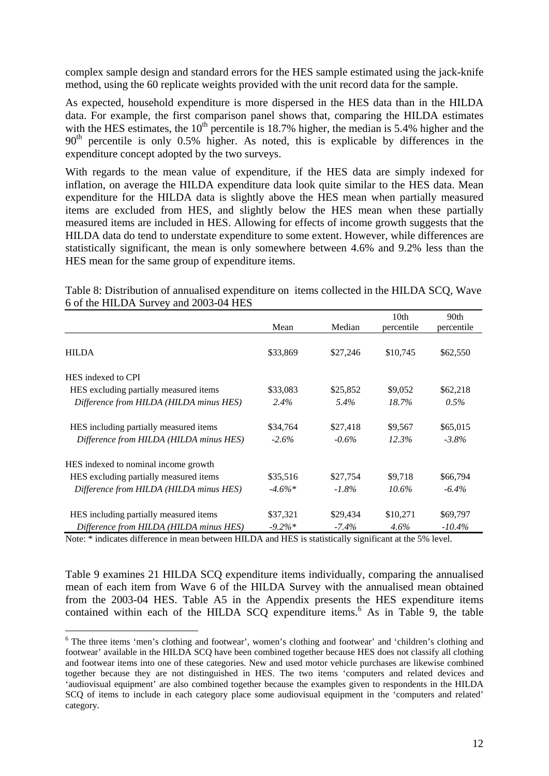complex sample design and standard errors for the HES sample estimated using the jack-knife method, using the 60 replicate weights provided with the unit record data for the sample.

As expected, household expenditure is more dispersed in the HES data than in the HILDA data. For example, the first comparison panel shows that, comparing the HILDA estimates with the HES estimates, the  $10<sup>th</sup>$  percentile is 18.7% higher, the median is 5.4% higher and the  $90<sup>th</sup>$  percentile is only 0.5% higher. As noted, this is explicable by differences in the expenditure concept adopted by the two surveys.

With regards to the mean value of expenditure, if the HES data are simply indexed for inflation, on average the HILDA expenditure data look quite similar to the HES data. Mean expenditure for the HILDA data is slightly above the HES mean when partially measured items are excluded from HES, and slightly below the HES mean when these partially measured items are included in HES. Allowing for effects of income growth suggests that the HILDA data do tend to understate expenditure to some extent. However, while differences are statistically significant, the mean is only somewhere between 4.6% and 9.2% less than the HES mean for the same group of expenditure items.

Table 8: Distribution of annualised expenditure on items collected in the HILDA SCQ, Wave 6 of the HILDA Survey and 2003-04 HES

|                                         |           |          | 10 <sub>th</sub> | 90th       |
|-----------------------------------------|-----------|----------|------------------|------------|
|                                         | Mean      | Median   | percentile       | percentile |
| <b>HILDA</b>                            | \$33,869  | \$27,246 | \$10,745         | \$62,550   |
| HES indexed to CPI                      |           |          |                  |            |
| HES excluding partially measured items  | \$33,083  | \$25,852 | \$9,052          | \$62,218   |
| Difference from HILDA (HILDA minus HES) | $2.4\%$   | 5.4%     | 18.7%            | $0.5\%$    |
| HES including partially measured items  | \$34,764  | \$27,418 | \$9,567          | \$65,015   |
| Difference from HILDA (HILDA minus HES) | $-2.6\%$  | $-0.6\%$ | 12.3%            | $-3.8\%$   |
| HES indexed to nominal income growth    |           |          |                  |            |
| HES excluding partially measured items  | \$35,516  | \$27,754 | \$9,718          | \$66,794   |
| Difference from HILDA (HILDA minus HES) | $-4.6\%*$ | $-1.8\%$ | $10.6\%$         | $-6.4\%$   |
| HES including partially measured items  | \$37,321  | \$29,434 | \$10,271         | \$69,797   |
| Difference from HILDA (HILDA minus HES) | $-9.2\%*$ | $-7.4\%$ | $4.6\%$          | $-10.4\%$  |

Note: \* indicates difference in mean between HILDA and HES is statistically significant at the 5% level.

<u>.</u>

Table 9 examines 21 HILDA SCQ expenditure items individually, comparing the annualised mean of each item from Wave 6 of the HILDA Survey with the annualised mean obtained from the 2003-04 HES. Table A5 in the Appendix presents the HES expenditure items contained within each of the HILDA SCQ expenditure items.<sup>6</sup> As in Table 9, the table

<sup>&</sup>lt;sup>6</sup> The three items 'men's clothing and footwear', women's clothing and footwear' and 'children's clothing and footwear' available in the HILDA SCQ have been combined together because HES does not classify all clothing and footwear items into one of these categories. New and used motor vehicle purchases are likewise combined together because they are not distinguished in HES. The two items 'computers and related devices and 'audiovisual equipment' are also combined together because the examples given to respondents in the HILDA SCQ of items to include in each category place some audiovisual equipment in the 'computers and related' category.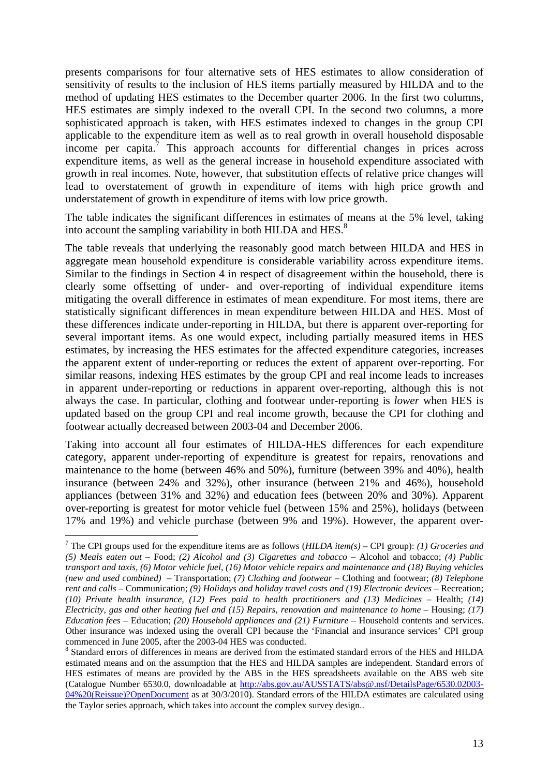presents comparisons for four alternative sets of HES estimates to allow consideration of sensitivity of results to the inclusion of HES items partially measured by HILDA and to the method of updating HES estimates to the December quarter 2006. In the first two columns, HES estimates are simply indexed to the overall CPI. In the second two columns, a more sophisticated approach is taken, with HES estimates indexed to changes in the group CPI applicable to the expenditure item as well as to real growth in overall household disposable income per capita.<sup>7</sup> This approach accounts for differential changes in prices across expenditure items, as well as the general increase in household expenditure associated with growth in real incomes. Note, however, that substitution effects of relative price changes will lead to overstatement of growth in expenditure of items with high price growth and understatement of growth in expenditure of items with low price growth.

The table indicates the significant differences in estimates of means at the 5% level, taking into account the sampling variability in both HILDA and HES.<sup>8</sup>

The table reveals that underlying the reasonably good match between HILDA and HES in aggregate mean household expenditure is considerable variability across expenditure items. Similar to the findings in Section 4 in respect of disagreement within the household, there is clearly some offsetting of under- and over-reporting of individual expenditure items mitigating the overall difference in estimates of mean expenditure. For most items, there are statistically significant differences in mean expenditure between HILDA and HES. Most of these differences indicate under-reporting in HILDA, but there is apparent over-reporting for several important items. As one would expect, including partially measured items in HES estimates, by increasing the HES estimates for the affected expenditure categories, increases the apparent extent of under-reporting or reduces the extent of apparent over-reporting. For similar reasons, indexing HES estimates by the group CPI and real income leads to increases in apparent under-reporting or reductions in apparent over-reporting, although this is not always the case. In particular, clothing and footwear under-reporting is *lower* when HES is updated based on the group CPI and real income growth, because the CPI for clothing and footwear actually decreased between 2003-04 and December 2006.

Taking into account all four estimates of HILDA-HES differences for each expenditure category, apparent under-reporting of expenditure is greatest for repairs, renovations and maintenance to the home (between 46% and 50%), furniture (between 39% and 40%), health insurance (between 24% and 32%), other insurance (between 21% and 46%), household appliances (between 31% and 32%) and education fees (between 20% and 30%). Apparent over-reporting is greatest for motor vehicle fuel (between 15% and 25%), holidays (between 17% and 19%) and vehicle purchase (between 9% and 19%). However, the apparent over-

<u>.</u>

<sup>7</sup> The CPI groups used for the expenditure items are as follows (*HILDA item(s) –* CPI group): *(1) Groceries and (5) Meals eaten out* – Food; *(2) Alcohol and (3) Cigarettes and tobacco* – Alcohol and tobacco; *(4) Public transport and taxis, (6) Motor vehicle fuel, (16) Motor vehicle repairs and maintenance and (18) Buying vehicles (new and used combined)* – Transportation; *(7) Clothing and footwear* – Clothing and footwear; *(8) Telephone rent and calls* – Communication; *(9) Holidays and holiday travel costs and (19) Electronic devices* – Recreation; *(10) Private health insurance, (12) Fees paid to health practitioners and (13) Medicines* – Health; *(14) Electricity, gas and other heating fuel and (15) Repairs, renovation and maintenance to home* – Housing; *(17) Education fees* – Education; *(20) Household appliances and (21) Furniture* – Household contents and services. Other insurance was indexed using the overall CPI because the 'Financial and insurance services' CPI group commenced in June 2005, after the 2003-04 HES was conducted.

<sup>&</sup>lt;sup>8</sup> Standard errors of differences in means are derived from the estimated standard errors of the HES and HILDA estimated means and on the assumption that the HES and HILDA samples are independent. Standard errors of HES estimates of means are provided by the ABS in the HES spreadsheets available on the ABS web site (Catalogue Number 6530.0, downloadable at http://abs.gov.au/AUSSTATS/abs@.nsf/DetailsPage/6530.02003- 04%20(Reissue)?OpenDocument as at 30/3/2010). Standard errors of the HILDA estimates are calculated using the Taylor series approach, which takes into account the complex survey design..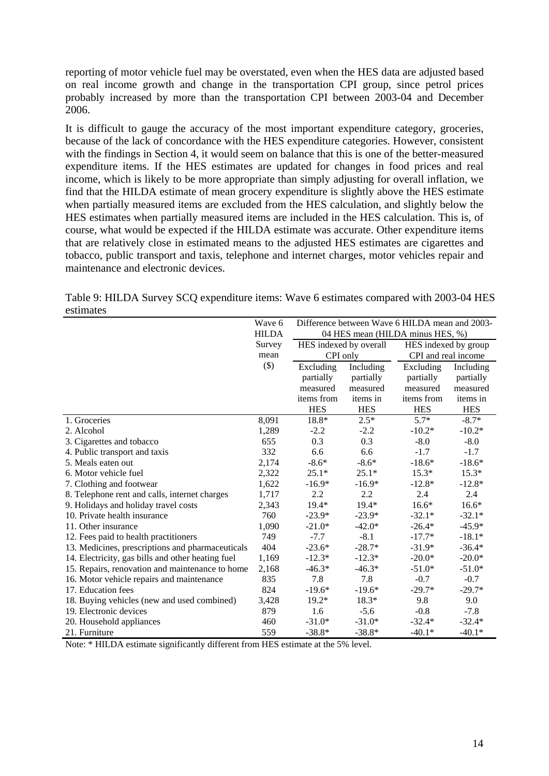reporting of motor vehicle fuel may be overstated, even when the HES data are adjusted based on real income growth and change in the transportation CPI group, since petrol prices probably increased by more than the transportation CPI between 2003-04 and December 2006.

It is difficult to gauge the accuracy of the most important expenditure category, groceries, because of the lack of concordance with the HES expenditure categories. However, consistent with the findings in Section 4, it would seem on balance that this is one of the better-measured expenditure items. If the HES estimates are updated for changes in food prices and real income, which is likely to be more appropriate than simply adjusting for overall inflation, we find that the HILDA estimate of mean grocery expenditure is slightly above the HES estimate when partially measured items are excluded from the HES calculation, and slightly below the HES estimates when partially measured items are included in the HES calculation. This is, of course, what would be expected if the HILDA estimate was accurate. Other expenditure items that are relatively close in estimated means to the adjusted HES estimates are cigarettes and tobacco, public transport and taxis, telephone and internet charges, motor vehicles repair and maintenance and electronic devices.

Table 9: HILDA Survey SCQ expenditure items: Wave 6 estimates compared with 2003-04 HES estimates

|                                                   | Wave 6       | Difference between Wave 6 HILDA mean and 2003- |            |                     |            |
|---------------------------------------------------|--------------|------------------------------------------------|------------|---------------------|------------|
|                                                   | <b>HILDA</b> | 04 HES mean (HILDA minus HES, %)               |            |                     |            |
|                                                   | Survey       | HES indexed by group<br>HES indexed by overall |            |                     |            |
|                                                   | mean         | CPI only                                       |            | CPI and real income |            |
|                                                   | $(\$)$       | Excluding                                      | Including  | Excluding           | Including  |
|                                                   |              | partially                                      | partially  | partially           | partially  |
|                                                   |              | measured                                       | measured   | measured            | measured   |
|                                                   |              | items from                                     | items in   | items from          | items in   |
|                                                   |              | <b>HES</b>                                     | <b>HES</b> | <b>HES</b>          | <b>HES</b> |
| 1. Groceries                                      | 8,091        | 18.8*                                          | $2.5*$     | $5.7*$              | $-8.7*$    |
| 2. Alcohol                                        | 1,289        | $-2.2$                                         | $-2.2$     | $-10.2*$            | $-10.2*$   |
| 3. Cigarettes and tobacco                         | 655          | 0.3                                            | 0.3        | $-8.0$              | $-8.0$     |
| 4. Public transport and taxis                     | 332          | 6.6                                            | 6.6        | $-1.7$              | $-1.7$     |
| 5. Meals eaten out                                | 2,174        | $-8.6*$                                        | $-8.6*$    | $-18.6*$            | $-18.6*$   |
| 6. Motor vehicle fuel                             | 2,322        | $25.1*$                                        | $25.1*$    | $15.3*$             | $15.3*$    |
| 7. Clothing and footwear                          | 1,622        | $-16.9*$                                       | $-16.9*$   | $-12.8*$            | $-12.8*$   |
| 8. Telephone rent and calls, internet charges     | 1,717        | 2.2                                            | 2.2        | 2.4                 | 2.4        |
| 9. Holidays and holiday travel costs              | 2,343        | $19.4*$                                        | $19.4*$    | $16.6*$             | $16.6*$    |
| 10. Private health insurance                      | 760          | $-23.9*$                                       | $-23.9*$   | $-32.1*$            | $-32.1*$   |
| 11. Other insurance                               | 1,090        | $-21.0*$                                       | $-42.0*$   | $-26.4*$            | $-45.9*$   |
| 12. Fees paid to health practitioners             | 749          | $-7.7$                                         | $-8.1$     | $-17.7*$            | $-18.1*$   |
| 13. Medicines, prescriptions and pharmaceuticals  | 404          | $-23.6*$                                       | $-28.7*$   | $-31.9*$            | $-36.4*$   |
| 14. Electricity, gas bills and other heating fuel | 1,169        | $-12.3*$                                       | $-12.3*$   | $-20.0*$            | $-20.0*$   |
| 15. Repairs, renovation and maintenance to home   | 2,168        | $-46.3*$                                       | $-46.3*$   | $-51.0*$            | $-51.0*$   |
| 16. Motor vehicle repairs and maintenance         | 835          | 7.8                                            | 7.8        | $-0.7$              | $-0.7$     |
| 17. Education fees                                | 824          | $-19.6*$                                       | $-19.6*$   | $-29.7*$            | $-29.7*$   |
| 18. Buying vehicles (new and used combined)       | 3,428        | $19.2*$                                        | 18.3*      | 9.8                 | 9.0        |
| 19. Electronic devices                            | 879          | 1.6                                            | $-5.6$     | $-0.8$              | $-7.8$     |
| 20. Household appliances                          | 460          | $-31.0*$                                       | $-31.0*$   | $-32.4*$            | $-32.4*$   |
| 21. Furniture                                     | 559          | $-38.8*$                                       | $-38.8*$   | $-40.1*$            | $-40.1*$   |

Note: \* HILDA estimate significantly different from HES estimate at the 5% level.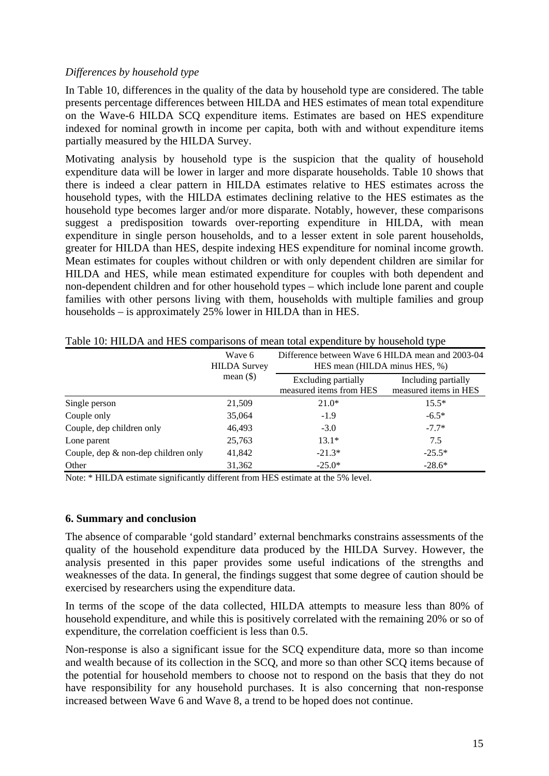#### *Differences by household type*

In Table 10, differences in the quality of the data by household type are considered. The table presents percentage differences between HILDA and HES estimates of mean total expenditure on the Wave-6 HILDA SCQ expenditure items. Estimates are based on HES expenditure indexed for nominal growth in income per capita, both with and without expenditure items partially measured by the HILDA Survey.

Motivating analysis by household type is the suspicion that the quality of household expenditure data will be lower in larger and more disparate households. Table 10 shows that there is indeed a clear pattern in HILDA estimates relative to HES estimates across the household types, with the HILDA estimates declining relative to the HES estimates as the household type becomes larger and/or more disparate. Notably, however, these comparisons suggest a predisposition towards over-reporting expenditure in HILDA, with mean expenditure in single person households, and to a lesser extent in sole parent households, greater for HILDA than HES, despite indexing HES expenditure for nominal income growth. Mean estimates for couples without children or with only dependent children are similar for HILDA and HES, while mean estimated expenditure for couples with both dependent and non-dependent children and for other household types – which include lone parent and couple families with other persons living with them, households with multiple families and group households – is approximately 25% lower in HILDA than in HES.

|                                        | Wave 6<br><b>HILDA</b> Survey | Difference between Wave 6 HILDA mean and 2003-04<br>HES mean (HILDA minus HES, %) |                                              |  |  |
|----------------------------------------|-------------------------------|-----------------------------------------------------------------------------------|----------------------------------------------|--|--|
|                                        | mean $(\$)$                   | <b>Excluding partially</b><br>measured items from HES                             | Including partially<br>measured items in HES |  |  |
| Single person                          | 21,509                        | $21.0*$                                                                           | $15.5*$                                      |  |  |
| Couple only                            | 35,064                        | $-1.9$                                                                            | $-6.5*$                                      |  |  |
| Couple, dep children only              | 46,493                        | $-3.0$                                                                            | $-7.7*$                                      |  |  |
| Lone parent                            | 25,763                        | $13.1*$                                                                           | 7.5                                          |  |  |
| Couple, dep $\&$ non-dep children only | 41,842                        | $-21.3*$                                                                          | $-25.5*$                                     |  |  |
| Other                                  | 31,362                        | $-25.0*$                                                                          | $-28.6*$                                     |  |  |

Table 10: HILDA and HES comparisons of mean total expenditure by household type

Note: \* HILDA estimate significantly different from HES estimate at the 5% level.

#### **6. Summary and conclusion**

The absence of comparable 'gold standard' external benchmarks constrains assessments of the quality of the household expenditure data produced by the HILDA Survey. However, the analysis presented in this paper provides some useful indications of the strengths and weaknesses of the data. In general, the findings suggest that some degree of caution should be exercised by researchers using the expenditure data.

In terms of the scope of the data collected, HILDA attempts to measure less than 80% of household expenditure, and while this is positively correlated with the remaining 20% or so of expenditure, the correlation coefficient is less than 0.5.

Non-response is also a significant issue for the SCQ expenditure data, more so than income and wealth because of its collection in the SCQ, and more so than other SCQ items because of the potential for household members to choose not to respond on the basis that they do not have responsibility for any household purchases. It is also concerning that non-response increased between Wave 6 and Wave 8, a trend to be hoped does not continue.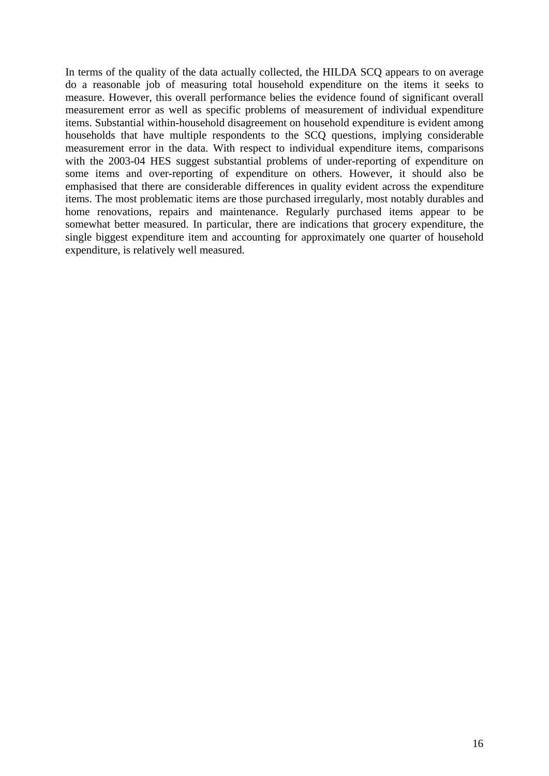In terms of the quality of the data actually collected, the HILDA SCQ appears to on average do a reasonable job of measuring total household expenditure on the items it seeks to measure. However, this overall performance belies the evidence found of significant overall measurement error as well as specific problems of measurement of individual expenditure items. Substantial within-household disagreement on household expenditure is evident among households that have multiple respondents to the SCQ questions, implying considerable measurement error in the data. With respect to individual expenditure items, comparisons with the 2003-04 HES suggest substantial problems of under-reporting of expenditure on some items and over-reporting of expenditure on others. However, it should also be emphasised that there are considerable differences in quality evident across the expenditure items. The most problematic items are those purchased irregularly, most notably durables and home renovations, repairs and maintenance. Regularly purchased items appear to be somewhat better measured. In particular, there are indications that grocery expenditure, the single biggest expenditure item and accounting for approximately one quarter of household expenditure, is relatively well measured.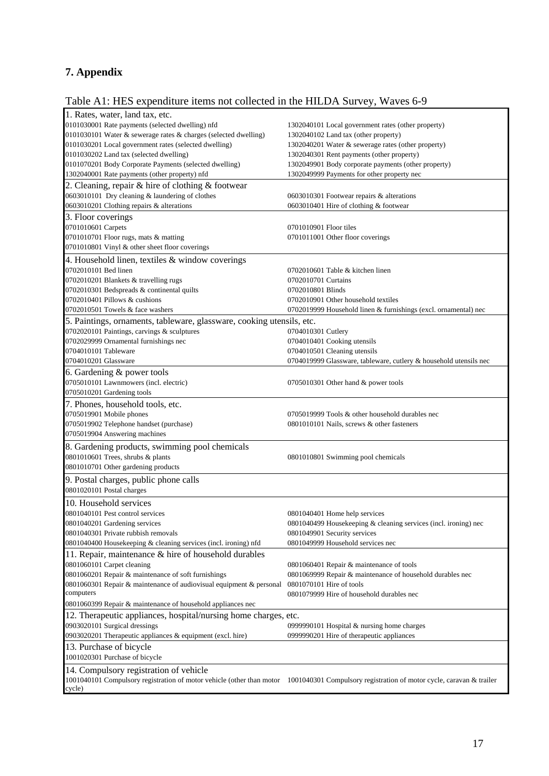## **7. Appendix**

## Table A1: HES expenditure items not collected in the HILDA Survey, Waves 6-9

| 1. Rates, water, land tax, etc.                                                                                                            |                                                                   |
|--------------------------------------------------------------------------------------------------------------------------------------------|-------------------------------------------------------------------|
| 0101030001 Rate payments (selected dwelling) nfd                                                                                           | 1302040101 Local government rates (other property)                |
| 0101030101 Water & sewerage rates & charges (selected dwelling)                                                                            | 1302040102 Land tax (other property)                              |
| 0101030201 Local government rates (selected dwelling)                                                                                      | 1302040201 Water & sewerage rates (other property)                |
| 0101030202 Land tax (selected dwelling)                                                                                                    | 1302040301 Rent payments (other property)                         |
| 0101070201 Body Corporate Payments (selected dwelling)                                                                                     | 1302049901 Body corporate payments (other property)               |
| 1302040001 Rate payments (other property) nfd                                                                                              | 1302049999 Payments for other property nec                        |
| 2. Cleaning, repair & hire of clothing & footwear                                                                                          |                                                                   |
| 0603010101 Dry cleaning & laundering of clothes                                                                                            | 0603010301 Footwear repairs & alterations                         |
| 0603010201 Clothing repairs & alterations                                                                                                  | 0603010401 Hire of clothing & footwear                            |
| 3. Floor coverings                                                                                                                         |                                                                   |
| 0701010601 Carpets                                                                                                                         | 0701010901 Floor tiles                                            |
| 0701010701 Floor rugs, mats & matting                                                                                                      | 0701011001 Other floor coverings                                  |
| 0701010801 Vinyl & other sheet floor coverings                                                                                             |                                                                   |
| 4. Household linen, textiles & window coverings                                                                                            |                                                                   |
| 0702010101 Bed linen                                                                                                                       | 0702010601 Table & kitchen linen                                  |
| 0702010201 Blankets & travelling rugs                                                                                                      | 0702010701 Curtains                                               |
| 0702010301 Bedspreads & continental quilts                                                                                                 | 0702010801 Blinds                                                 |
| 0702010401 Pillows & cushions                                                                                                              | 0702010901 Other household textiles                               |
| 0702010501 Towels & face washers                                                                                                           | 0702019999 Household linen & furnishings (excl. ornamental) nec   |
|                                                                                                                                            |                                                                   |
| 5. Paintings, ornaments, tableware, glassware, cooking utensils, etc.<br>0702020101 Paintings, carvings & sculptures                       | 0704010301 Cutlery                                                |
| 0702029999 Ornamental furnishings nec                                                                                                      |                                                                   |
| 0704010101 Tableware                                                                                                                       | 0704010401 Cooking utensils<br>0704010501 Cleaning utensils       |
| 0704010201 Glassware                                                                                                                       | 0704019999 Glassware, tableware, cutlery & household utensils nec |
|                                                                                                                                            |                                                                   |
| 6. Gardening & power tools                                                                                                                 |                                                                   |
| 0705010101 Lawnmowers (incl. electric)                                                                                                     | 0705010301 Other hand $&$ power tools                             |
| 0705010201 Gardening tools                                                                                                                 |                                                                   |
| 7. Phones, household tools, etc.                                                                                                           |                                                                   |
| 0705019901 Mobile phones                                                                                                                   | 0705019999 Tools & other household durables nec                   |
| 0705019902 Telephone handset (purchase)                                                                                                    | 0801010101 Nails, screws & other fasteners                        |
| 0705019904 Answering machines                                                                                                              |                                                                   |
| 8. Gardening products, swimming pool chemicals                                                                                             |                                                                   |
| 0801010601 Trees, shrubs & plants                                                                                                          | 0801010801 Swimming pool chemicals                                |
| 0801010701 Other gardening products                                                                                                        |                                                                   |
| 9. Postal charges, public phone calls                                                                                                      |                                                                   |
| 0801020101 Postal charges                                                                                                                  |                                                                   |
|                                                                                                                                            |                                                                   |
| 10. Household services                                                                                                                     |                                                                   |
| 0801040101 Pest control services                                                                                                           | 0801040401 Home help services                                     |
| 0801040201 Gardening services<br>0801040301 Private rubbish removals                                                                       | 0801040499 Housekeeping & cleaning services (incl. ironing) nec   |
|                                                                                                                                            | 0801049901 Security services                                      |
| 0801040400 Housekeeping & cleaning services (incl. ironing) nfd                                                                            | 0801049999 Household services nec                                 |
| 11. Repair, maintenance & hire of household durables                                                                                       |                                                                   |
| 0801060101 Carpet cleaning                                                                                                                 | 0801060401 Repair & maintenance of tools                          |
| 0801060201 Repair & maintenance of soft furnishings                                                                                        | 0801069999 Repair & maintenance of household durables nec         |
| 0801060301 Repair & maintenance of audiovisual equipment & personal                                                                        | 0801070101 Hire of tools                                          |
| computers                                                                                                                                  | 0801079999 Hire of household durables nec                         |
| 0801060399 Repair & maintenance of household appliances nec                                                                                |                                                                   |
| 12. Therapeutic appliances, hospital/nursing home charges, etc.                                                                            |                                                                   |
| 0903020101 Surgical dressings                                                                                                              | 0999990101 Hospital & nursing home charges                        |
| 0903020201 Therapeutic appliances & equipment (excl. hire)                                                                                 | 0999990201 Hire of therapeutic appliances                         |
| 13. Purchase of bicycle                                                                                                                    |                                                                   |
| 1001020301 Purchase of bicycle                                                                                                             |                                                                   |
| 14. Compulsory registration of vehicle                                                                                                     |                                                                   |
| 1001040101 Compulsory registration of motor vehicle (other than motor 1001040301 Compulsory registration of motor cycle, caravan & trailer |                                                                   |
| cycle)                                                                                                                                     |                                                                   |
|                                                                                                                                            |                                                                   |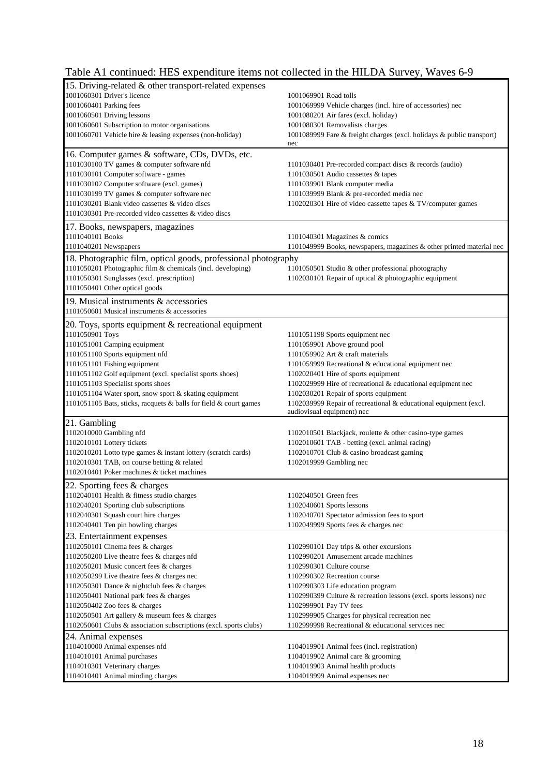## Table A1 continued: HES expenditure items not collected in the HILDA Survey, Waves 6-9

| 15. Driving-related & other transport-related expenses                                                       |                                                                                                         |
|--------------------------------------------------------------------------------------------------------------|---------------------------------------------------------------------------------------------------------|
| 1001060301 Driver's licence                                                                                  | 1001069901 Road tolls                                                                                   |
| 1001060401 Parking fees                                                                                      | 1001069999 Vehicle charges (incl. hire of accessories) nec                                              |
| 1001060501 Driving lessons                                                                                   | 1001080201 Air fares (excl. holiday)                                                                    |
| 1001060601 Subscription to motor organisations                                                               | 1001080301 Removalists charges                                                                          |
| 1001060701 Vehicle hire & leasing expenses (non-holiday)                                                     | 1001089999 Fare & freight charges (excl. holidays & public transport)                                   |
|                                                                                                              | nec                                                                                                     |
| 16. Computer games & software, CDs, DVDs, etc.                                                               |                                                                                                         |
| 1101030100 TV games & computer software nfd                                                                  | 1101030401 Pre-recorded compact discs & records (audio)                                                 |
| 1101030101 Computer software - games                                                                         | 1101030501 Audio cassettes & tapes                                                                      |
| 1101030102 Computer software (excl. games)                                                                   | 1101039901 Blank computer media                                                                         |
| 1101030199 TV games & computer software nec                                                                  | 1101039999 Blank & pre-recorded media nec                                                               |
| 1101030201 Blank video cassettes & video discs<br>1101030301 Pre-recorded video cassettes & video discs      | 1102020301 Hire of video cassette tapes & TV/computer games                                             |
|                                                                                                              |                                                                                                         |
| 17. Books, newspapers, magazines                                                                             |                                                                                                         |
| 1101040101 Books                                                                                             | 1101040301 Magazines & comics                                                                           |
| 1101040201 Newspapers                                                                                        | 1101049999 Books, newspapers, magazines & other printed material nec                                    |
| 18. Photographic film, optical goods, professional photography                                               |                                                                                                         |
| 1101050201 Photographic film & chemicals (incl. developing)                                                  | 1101050501 Studio & other professional photography                                                      |
| 1101050301 Sunglasses (excl. prescription)                                                                   | 1102030101 Repair of optical & photographic equipment                                                   |
| 1101050401 Other optical goods                                                                               |                                                                                                         |
| 19. Musical instruments & accessories                                                                        |                                                                                                         |
| 1101050601 Musical instruments & accessories                                                                 |                                                                                                         |
| 20. Toys, sports equipment & recreational equipment                                                          |                                                                                                         |
| 1101050901 Toys                                                                                              | 1101051198 Sports equipment nec                                                                         |
| 1101051001 Camping equipment                                                                                 | 1101059901 Above ground pool                                                                            |
| 1101051100 Sports equipment nfd                                                                              | 1101059902 Art & craft materials                                                                        |
| 1101051101 Fishing equipment                                                                                 | 1101059999 Recreational & educational equipment nec                                                     |
| 1101051102 Golf equipment (excl. specialist sports shoes)                                                    | 1102020401 Hire of sports equipment                                                                     |
| 1101051103 Specialist sports shoes                                                                           | 1102029999 Hire of recreational & educational equipment nec                                             |
| 1101051104 Water sport, snow sport & skating equipment                                                       | 1102030201 Repair of sports equipment                                                                   |
| 1101051105 Bats, sticks, racquets & balls for field & court games                                            | 1102039999 Repair of recreational & educational equipment (excl.                                        |
|                                                                                                              | audiovisual equipment) nec                                                                              |
| 21. Gambling                                                                                                 |                                                                                                         |
| 1102010000 Gambling nfd                                                                                      | 1102010501 Blackjack, roulette & other casino-type games                                                |
| 1102010101 Lottery tickets                                                                                   | 1102010601 TAB - betting (excl. animal racing)                                                          |
| 1102010201 Lotto type games & instant lottery (scratch cards)<br>1102010301 TAB, on course betting & related | 1102010701 Club & casino broadcast gaming<br>1102019999 Gambling nec                                    |
| 1102010401 Poker machines & ticket machines                                                                  |                                                                                                         |
|                                                                                                              |                                                                                                         |
| 22. Sporting fees & charges                                                                                  |                                                                                                         |
| 1102040101 Health & fitness studio charges                                                                   | 1102040501 Green fees                                                                                   |
| 1102040201 Sporting club subscriptions                                                                       | 1102040601 Sports lessons                                                                               |
| 1102040301 Squash court hire charges                                                                         | 1102040701 Spectator admission fees to sport                                                            |
| 1102040401 Ten pin bowling charges                                                                           | 1102049999 Sports fees & charges nec                                                                    |
| 23. Entertainment expenses                                                                                   |                                                                                                         |
| 1102050101 Cinema fees & charges<br>1102050200 Live theatre fees & charges nfd                               | 1102990101 Day trips & other excursions<br>1102990201 Amusement arcade machines                         |
| 1102050201 Music concert fees & charges                                                                      | 1102990301 Culture course                                                                               |
| 1102050299 Live theatre fees & charges nec                                                                   | 1102990302 Recreation course                                                                            |
| 1102050301 Dance & nightclub fees & charges                                                                  |                                                                                                         |
| 1102050401 National park fees & charges                                                                      | 1102990303 Life education program<br>1102990399 Culture & recreation lessons (excl. sports lessons) nec |
| 1102050402 Zoo fees & charges                                                                                | 1102999901 Pay TV fees                                                                                  |
| 1102050501 Art gallery & museum fees & charges                                                               | 1102999905 Charges for physical recreation nec                                                          |
| 1102050601 Clubs & association subscriptions (excl. sports clubs)                                            | 1102999998 Recreational & educational services nec                                                      |
| 24. Animal expenses                                                                                          |                                                                                                         |
| 1104010000 Animal expenses nfd                                                                               | 1104019901 Animal fees (incl. registration)                                                             |
| 1104010101 Animal purchases                                                                                  | 1104019902 Animal care & grooming                                                                       |
| 1104010301 Veterinary charges                                                                                | 1104019903 Animal health products                                                                       |
| 1104010401 Animal minding charges                                                                            | 1104019999 Animal expenses nec                                                                          |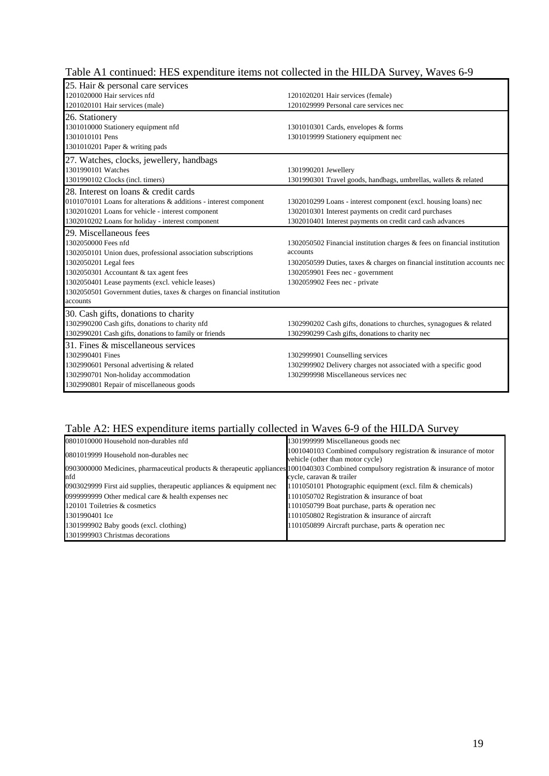| 25. Hair & personal care services                                      |                                                                          |
|------------------------------------------------------------------------|--------------------------------------------------------------------------|
| 1201020000 Hair services nfd                                           | 1201020201 Hair services (female)                                        |
| 1201020101 Hair services (male)                                        | 1201029999 Personal care services nec                                    |
| 26. Stationery                                                         |                                                                          |
| 1301010000 Stationery equipment nfd                                    | 1301010301 Cards, envelopes & forms                                      |
| 1301010101 Pens                                                        | 1301019999 Stationery equipment nec                                      |
| 1301010201 Paper & writing pads                                        |                                                                          |
| 27. Watches, clocks, jewellery, handbags                               |                                                                          |
| 1301990101 Watches                                                     | 1301990201 Jewellery                                                     |
| 1301990102 Clocks (incl. timers)                                       | 1301990301 Travel goods, handbags, umbrellas, wallets & related          |
| 28. Interest on loans & credit cards                                   |                                                                          |
| 0101070101 Loans for alterations & additions - interest component      | 1302010299 Loans - interest component (excl. housing loans) nec          |
| 1302010201 Loans for vehicle - interest component                      | 1302010301 Interest payments on credit card purchases                    |
| 1302010202 Loans for holiday - interest component                      | 1302010401 Interest payments on credit card cash advances                |
| 29. Miscellaneous fees                                                 |                                                                          |
| 1302050000 Fees nfd                                                    | 1302050502 Financial institution charges & fees on financial institution |
| 1302050101 Union dues, professional association subscriptions          | accounts                                                                 |
| 1302050201 Legal fees                                                  | 1302050599 Duties, taxes & charges on financial institution accounts nec |
| 1302050301 Accountant & tax agent fees                                 | 1302059901 Fees nec - government                                         |
| 1302050401 Lease payments (excl. vehicle leases)                       | 1302059902 Fees nec - private                                            |
| 1302050501 Government duties, taxes & charges on financial institution |                                                                          |
| accounts                                                               |                                                                          |
| 30. Cash gifts, donations to charity                                   |                                                                          |
| 1302990200 Cash gifts, donations to charity nfd                        | 1302990202 Cash gifts, donations to churches, synagogues & related       |
| 1302990201 Cash gifts, donations to family or friends                  | 1302990299 Cash gifts, donations to charity nec                          |
| 31. Fines & miscellaneous services                                     |                                                                          |
| 1302990401 Fines                                                       | 1302999901 Counselling services                                          |
| 1302990601 Personal advertising & related                              | 130299902 Delivery charges not associated with a specific good           |
| 1302990701 Non-holiday accommodation                                   | 1302999998 Miscellaneous services nec                                    |
| 1302990801 Repair of miscellaneous goods                               |                                                                          |
|                                                                        |                                                                          |

### Table A1 continued: HES expenditure items not collected in the HILDA Survey, Waves 6-9

#### Table A2: HES expenditure items partially collected in Waves 6-9 of the HILDA Survey

| 0801010000 Household non-durables nfd                                                                                                          | 1301999999 Miscellaneous goods nec                                                                   |
|------------------------------------------------------------------------------------------------------------------------------------------------|------------------------------------------------------------------------------------------------------|
| 0801019999 Household non-durables nec                                                                                                          | 1001040103 Combined compulsory registration & insurance of motor<br>vehicle (other than motor cycle) |
| 0903000000 Medicines, pharmaceutical products & therapeutic appliances 1001040303 Combined compulsory registration & insurance of motor<br>nfd | cycle, caravan & trailer                                                                             |
| 0903029999 First aid supplies, therapeutic appliances $\&$ equipment nec                                                                       | 1101050101 Photographic equipment (excl. film & chemicals)                                           |
| 09999999999 Other medical care $&$ health expenses nec                                                                                         | 1101050702 Registration & insurance of boat                                                          |
| 120101 Toiletries & cosmetics                                                                                                                  | 1101050799 Boat purchase, parts & operation nec                                                      |
| 1301990401 Ice                                                                                                                                 | 1101050802 Registration & insurance of aircraft                                                      |
| 1301999902 Baby goods (excl. clothing)                                                                                                         | 1101050899 Aircraft purchase, parts & operation nec                                                  |
| 1301999903 Christmas decorations                                                                                                               |                                                                                                      |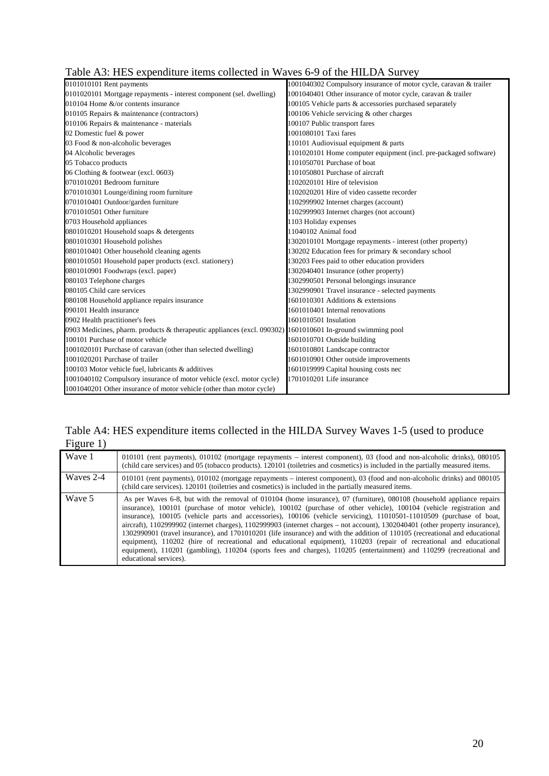|  | Table A3: HES expenditure items collected in Waves 6-9 of the HILDA Survey |  |  |  |  |
|--|----------------------------------------------------------------------------|--|--|--|--|
|  |                                                                            |  |  |  |  |

| 0101010101 Rent payments                                                                                   | 1001040302 Compulsory insurance of motor cycle, caravan & trailer |
|------------------------------------------------------------------------------------------------------------|-------------------------------------------------------------------|
| 0101020101 Mortgage repayments - interest component (sel. dwelling)                                        | 1001040401 Other insurance of motor cycle, caravan & trailer      |
| 010104 Home $&$ /or contents insurance                                                                     | 100105 Vehicle parts & accessories purchased separately           |
| 010105 Repairs & maintenance (contractors)                                                                 | 100106 Vehicle servicing & other charges                          |
| 010106 Repairs & maintenance - materials                                                                   | 100107 Public transport fares                                     |
| 02 Domestic fuel & power                                                                                   | 1001080101 Taxi fares                                             |
| 03 Food & non-alcoholic beverages                                                                          | 110101 Audiovisual equipment & parts                              |
| 04 Alcoholic beverages                                                                                     | 1101020101 Home computer equipment (incl. pre-packaged software)  |
| 05 Tobacco products                                                                                        | 1101050701 Purchase of boat                                       |
| 06 Clothing & footwear (excl. 0603)                                                                        | 1101050801 Purchase of aircraft                                   |
| 0701010201 Bedroom furniture                                                                               | 1102020101 Hire of television                                     |
| 0701010301 Lounge/dining room furniture                                                                    | 1102020201 Hire of video cassette recorder                        |
| 0701010401 Outdoor/garden furniture                                                                        | 1102999902 Internet charges (account)                             |
| 0701010501 Other furniture                                                                                 | 1102999903 Internet charges (not account)                         |
| 0703 Household appliances                                                                                  | 1103 Holiday expenses                                             |
| 0801010201 Household soaps & detergents                                                                    | 11040102 Animal food                                              |
| 0801010301 Household polishes                                                                              | 1302010101 Mortgage repayments - interest (other property)        |
| 0801010401 Other household cleaning agents                                                                 | 130202 Education fees for primary & secondary school              |
| 0801010501 Household paper products (excl. stationery)                                                     | 30203 Fees paid to other education providers                      |
| 0801010901 Foodwraps (excl. paper)                                                                         | 1302040401 Insurance (other property)                             |
| 080103 Telephone charges                                                                                   | 1302990501 Personal belongings insurance                          |
| 080105 Child care services                                                                                 | 302990901 Travel insurance - selected payments                    |
| 080108 Household appliance repairs insurance                                                               | 1601010301 Additions & extensions                                 |
| 090101 Health insurance                                                                                    | 1601010401 Internal renovations                                   |
| 0902 Health practitioner's fees                                                                            | 1601010501 Insulation                                             |
| 0903 Medicines, pharm. products & therapeutic appliances (excl. 090302) 1601010601 In-ground swimming pool |                                                                   |
| 100101 Purchase of motor vehicle                                                                           | 1601010701 Outside building                                       |
| 1001020101 Purchase of caravan (other than selected dwelling)                                              | 1601010801 Landscape contractor                                   |
| 1001020201 Purchase of trailer                                                                             | 1601010901 Other outside improvements                             |
| 100103 Motor vehicle fuel, lubricants & additives                                                          | 1601019999 Capital housing costs nec                              |
| 1001040102 Compulsory insurance of motor vehicle (excl. motor cycle)                                       | 1701010201 Life insurance                                         |
| 1001040201 Other insurance of motor vehicle (other than motor cycle)                                       |                                                                   |

Table A4: HES expenditure items collected in the HILDA Survey Waves 1-5 (used to produce Figure 1)

| Wave 1    | 010101 (rent payments), 010102 (mortgage repayments – interest component), 03 (food and non-alcoholic drinks), 080105<br>(child care services) and 05 (tobacco products). 120101 (toiletries and cosmetics) is included in the partially measured items.                                                                                                                                                                                                                                                                                                                                                                                                                                                                                                                                                                                                                                                         |
|-----------|------------------------------------------------------------------------------------------------------------------------------------------------------------------------------------------------------------------------------------------------------------------------------------------------------------------------------------------------------------------------------------------------------------------------------------------------------------------------------------------------------------------------------------------------------------------------------------------------------------------------------------------------------------------------------------------------------------------------------------------------------------------------------------------------------------------------------------------------------------------------------------------------------------------|
| Waves 2-4 | 010101 (rent payments), 010102 (mortgage repayments – interest component), 03 (food and non-alcoholic drinks) and 080105<br>(child care services). 120101 (toiletries and cosmetics) is included in the partially measured items.                                                                                                                                                                                                                                                                                                                                                                                                                                                                                                                                                                                                                                                                                |
| Wave 5    | As per Waves 6-8, but with the removal of 010104 (home insurance), 07 (furniture), 080108 (household appliance repairs<br>insurance), 100101 (purchase of motor vehicle), 100102 (purchase of other vehicle), 100104 (vehicle registration and<br>insurance), 100105 (vehicle parts and accessories), 100106 (vehicle servicing), 11010501-11010509 (purchase of boat,<br>aircraft), 1102999902 (internet charges), 1102999903 (internet charges – not account), 1302040401 (other property insurance),<br>1302990901 (travel insurance), and 1701010201 (life insurance) and with the addition of 110105 (recreational and educational<br>equipment), 110202 (hire of recreational and educational equipment), 110203 (repair of recreational and educational<br>equipment), 110201 (gambling), 110204 (sports fees and charges), 110205 (entertainment) and 110299 (recreational and<br>educational services). |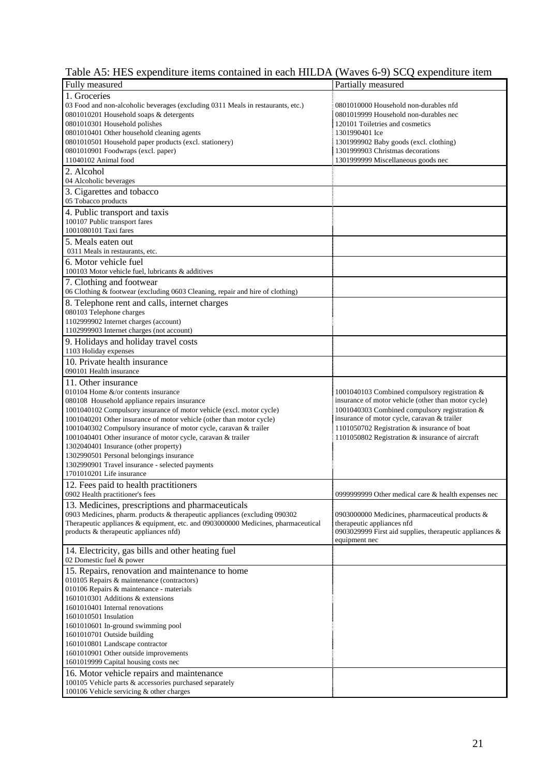|  |  |  |  |  | Table A5: HES expenditure items contained in each HILDA (Waves 6-9) SCQ expenditure item |
|--|--|--|--|--|------------------------------------------------------------------------------------------|
|--|--|--|--|--|------------------------------------------------------------------------------------------|

| Fully measured                                                                    | Partially measured                                         |
|-----------------------------------------------------------------------------------|------------------------------------------------------------|
| 1. Groceries                                                                      |                                                            |
| 03 Food and non-alcoholic beverages (excluding 0311 Meals in restaurants, etc.)   | 0801010000 Household non-durables nfd                      |
| 0801010201 Household soaps & detergents                                           | 0801019999 Household non-durables nec                      |
| 0801010301 Household polishes                                                     | 120101 Toiletries and cosmetics                            |
| 0801010401 Other household cleaning agents                                        | 1301990401 Ice                                             |
| 0801010501 Household paper products (excl. stationery)                            | 1301999902 Baby goods (excl. clothing)                     |
| 0801010901 Foodwraps (excl. paper)                                                | 1301999903 Christmas decorations                           |
| 11040102 Animal food                                                              | 1301999999 Miscellaneous goods nec                         |
| 2. Alcohol                                                                        |                                                            |
| 04 Alcoholic beverages                                                            |                                                            |
|                                                                                   |                                                            |
| 3. Cigarettes and tobacco                                                         |                                                            |
| 05 Tobacco products                                                               |                                                            |
| 4. Public transport and taxis                                                     |                                                            |
| 100107 Public transport fares                                                     |                                                            |
| 1001080101 Taxi fares                                                             |                                                            |
| 5. Meals eaten out                                                                |                                                            |
| 0311 Meals in restaurants, etc.                                                   |                                                            |
|                                                                                   |                                                            |
| 6. Motor vehicle fuel                                                             |                                                            |
| 100103 Motor vehicle fuel, lubricants & additives                                 |                                                            |
| 7. Clothing and footwear                                                          |                                                            |
| 06 Clothing & footwear (excluding 0603 Cleaning, repair and hire of clothing)     |                                                            |
| 8. Telephone rent and calls, internet charges                                     |                                                            |
| 080103 Telephone charges                                                          |                                                            |
| 1102999902 Internet charges (account)                                             |                                                            |
| 1102999903 Internet charges (not account)                                         |                                                            |
|                                                                                   |                                                            |
| 9. Holidays and holiday travel costs                                              |                                                            |
| 1103 Holiday expenses                                                             |                                                            |
| 10. Private health insurance                                                      |                                                            |
| 090101 Health insurance                                                           |                                                            |
| 11. Other insurance                                                               |                                                            |
| 010104 Home &/or contents insurance                                               | 1001040103 Combined compulsory registration &              |
| 080108 Household appliance repairs insurance                                      | insurance of motor vehicle (other than motor cycle)        |
| 1001040102 Compulsory insurance of motor vehicle (excl. motor cycle)              | 1001040303 Combined compulsory registration &              |
|                                                                                   | insurance of motor cycle, caravan & trailer                |
| 1001040201 Other insurance of motor vehicle (other than motor cycle)              |                                                            |
| 1001040302 Compulsory insurance of motor cycle, caravan & trailer                 | 1101050702 Registration & insurance of boat                |
| 1001040401 Other insurance of motor cycle, caravan & trailer                      | 1101050802 Registration & insurance of aircraft            |
| 1302040401 Insurance (other property)                                             |                                                            |
| 1302990501 Personal belongings insurance                                          |                                                            |
| 1302990901 Travel insurance - selected payments                                   |                                                            |
| 1701010201 Life insurance                                                         |                                                            |
| 12. Fees paid to health practitioners                                             |                                                            |
| 0902 Health practitioner's fees                                                   | 0999999999 Other medical care & health expenses nec        |
| 13. Medicines, prescriptions and pharmaceuticals                                  |                                                            |
| 0903 Medicines, pharm. products $&$ therapeutic appliances (excluding 090302      | 0903000000 Medicines, pharmaceutical products &            |
| Therapeutic appliances & equipment, etc. and 0903000000 Medicines, pharmaceutical | therapeutic appliances nfd                                 |
| products & therapeutic appliances nfd)                                            | 0903029999 First aid supplies, therapeutic appliances $\&$ |
|                                                                                   | equipment nec                                              |
| 14. Electricity, gas bills and other heating fuel                                 |                                                            |
| 02 Domestic fuel & power                                                          |                                                            |
|                                                                                   |                                                            |
| 15. Repairs, renovation and maintenance to home                                   |                                                            |
| 010105 Repairs & maintenance (contractors)                                        |                                                            |
| 010106 Repairs & maintenance - materials                                          |                                                            |
| 1601010301 Additions & extensions                                                 |                                                            |
| 1601010401 Internal renovations                                                   |                                                            |
| 1601010501 Insulation                                                             |                                                            |
| 1601010601 In-ground swimming pool                                                |                                                            |
| 1601010701 Outside building                                                       |                                                            |
| 1601010801 Landscape contractor                                                   |                                                            |
| 1601010901 Other outside improvements                                             |                                                            |
| 1601019999 Capital housing costs nec                                              |                                                            |
| 16. Motor vehicle repairs and maintenance                                         |                                                            |
| 100105 Vehicle parts & accessories purchased separately                           |                                                            |
| 100106 Vehicle servicing & other charges                                          |                                                            |
|                                                                                   |                                                            |